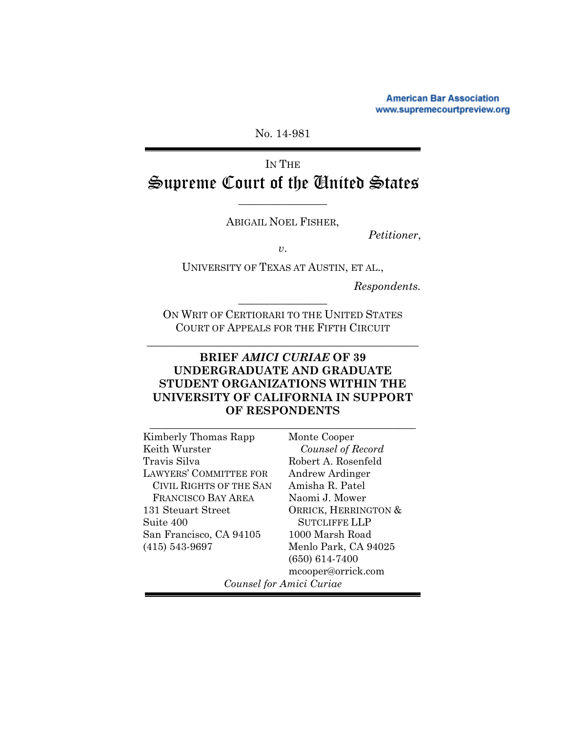**American Bar Association** www.supremecourtpreview.org

No. 14-981

# IN THE Supreme Court of the United States

ABIGAIL NOEL FISHER,

 $\frac{1}{2}$  , where  $\frac{1}{2}$ 

 *Petitioner*,

*v*.

UNIVERSITY OF TEXAS AT AUSTIN, ET AL.,

 *Respondents.* 

ON WRIT OF CERTIORARI TO THE UNITED STATES COURT OF APPEALS FOR THE FIFTH CIRCUIT

\_\_\_\_\_\_\_\_\_\_\_\_\_\_\_\_\_\_\_\_\_\_\_\_\_\_\_\_\_\_\_\_\_\_\_\_\_\_\_\_\_\_\_\_\_\_\_\_\_

 $\frac{1}{2}$  , where  $\frac{1}{2}$  , where  $\frac{1}{2}$ 

## **BRIEF** *AMICI CURIAE* **OF 39 UNDERGRADUATE AND GRADUATE STUDENT ORGANIZATIONS WITHIN THE UNIVERSITY OF CALIFORNIA IN SUPPORT OF RESPONDENTS**

\_\_\_\_\_\_\_\_\_\_\_\_\_\_\_\_\_\_\_\_\_\_\_\_\_\_\_\_\_\_\_\_\_\_\_\_\_\_\_\_\_\_\_\_\_\_\_\_

| Kimberly Thomas Rapp           |
|--------------------------------|
| Keith Wurster                  |
| Travis Silva                   |
| <b>LAWYERS' COMMITTEE FOR</b>  |
| <b>CIVIL RIGHTS OF THE SAN</b> |
| <b>FRANCISCO BAY AREA</b>      |
| 131 Steuart Street             |
| Suite 400                      |
| San Francisco, CA 94105        |
| $(415) 543 - 9697$             |
|                                |

Monte Cooper *Counsel of Record*  Robert A. Rosenfeld Andrew Ardinger Amisha R. Patel Naomi J. Mower ORRICK, HERRINGTON & SUTCLIFFE LLP 1000 Marsh Road Menlo Park, CA 94025 (650) 614-7400 mcooper@orrick.com

*Counsel for Amici Curiae*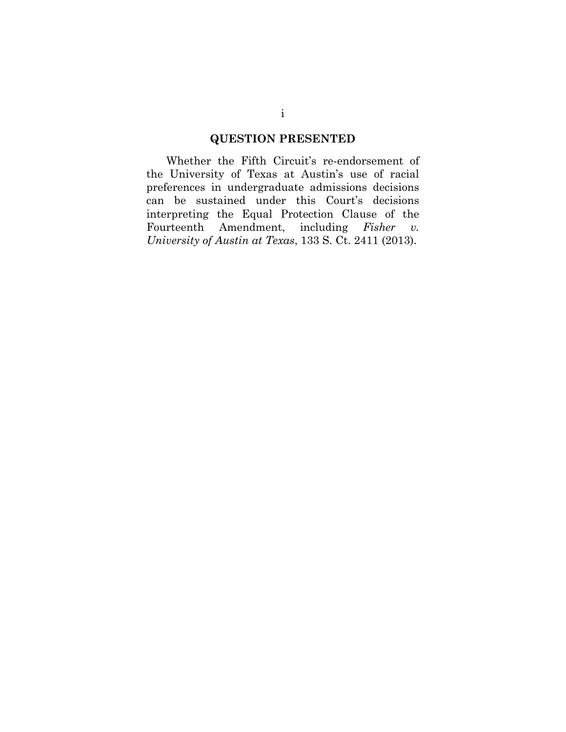## **QUESTION PRESENTED**

Whether the Fifth Circuit's re-endorsement of the University of Texas at Austin's use of racial preferences in undergraduate admissions decisions can be sustained under this Court's decisions interpreting the Equal Protection Clause of the Fourteenth Amendment, including *Fisher v. University of Austin at Texas*, 133 S. Ct. 2411 (2013).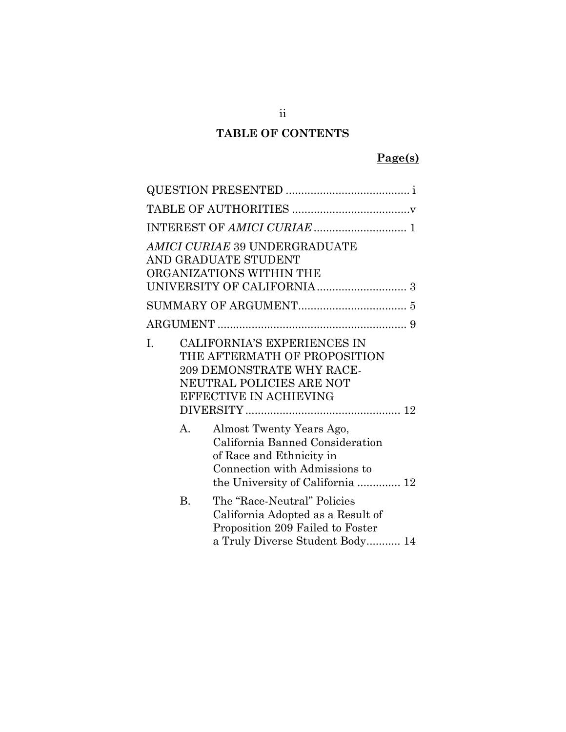## **TABLE OF CONTENTS**

## **Page(s)**

|    | AMICI CURIAE 39 UNDERGRADUATE<br>AND GRADUATE STUDENT<br>ORGANIZATIONS WITHIN THE                                                                            |
|----|--------------------------------------------------------------------------------------------------------------------------------------------------------------|
|    |                                                                                                                                                              |
|    |                                                                                                                                                              |
| I. | CALIFORNIA'S EXPERIENCES IN<br>THE AFTERMATH OF PROPOSITION<br>209 DEMONSTRATE WHY RACE-<br>NEUTRAL POLICIES ARE NOT<br>EFFECTIVE IN ACHIEVING               |
| А. | Almost Twenty Years Ago,<br>California Banned Consideration<br>of Race and Ethnicity in<br>Connection with Admissions to<br>the University of California  12 |
| B. | The "Race-Neutral" Policies<br>California Adopted as a Result of<br>Proposition 209 Failed to Foster<br>a Truly Diverse Student Body 14                      |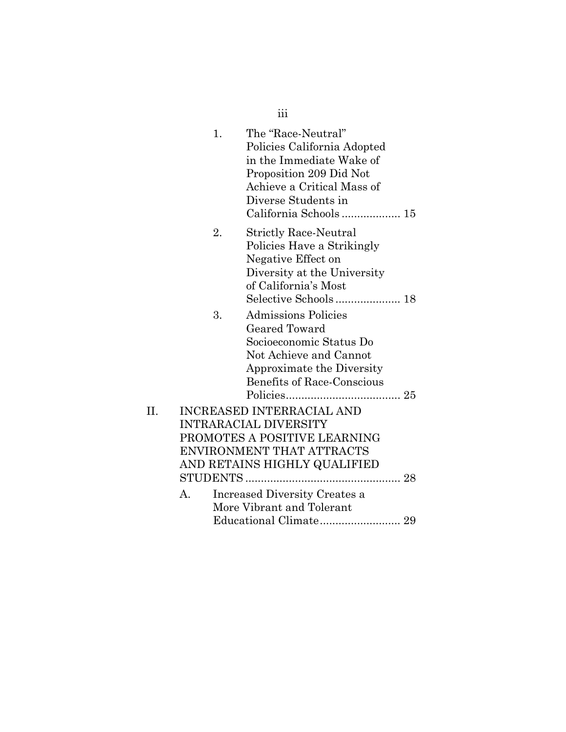|     |    | iii                                                                                                                                                                                    |  |
|-----|----|----------------------------------------------------------------------------------------------------------------------------------------------------------------------------------------|--|
|     | 1. | The "Race-Neutral"<br>Policies California Adopted<br>in the Immediate Wake of<br>Proposition 209 Did Not<br>Achieve a Critical Mass of<br>Diverse Students in<br>California Schools 15 |  |
|     | 2. | <b>Strictly Race-Neutral</b><br>Policies Have a Strikingly<br>Negative Effect on<br>Diversity at the University<br>of California's Most<br>Selective Schools 18                        |  |
|     | 3. | Admissions Policies<br>Geared Toward<br>Socioeconomic Status Do<br>Not Achieve and Cannot<br>Approximate the Diversity<br><b>Benefits of Race-Conscious</b>                            |  |
| II. |    | <b>INCREASED INTERRACIAL AND</b><br><b>INTRARACIAL DIVERSITY</b><br>PROMOTES A POSITIVE LEARNING<br>ENVIRONMENT THAT ATTRACTS<br>AND RETAINS HIGHLY QUALIFIED                          |  |
|     | A. | Increased Diversity Creates a<br>More Vibrant and Tolerant                                                                                                                             |  |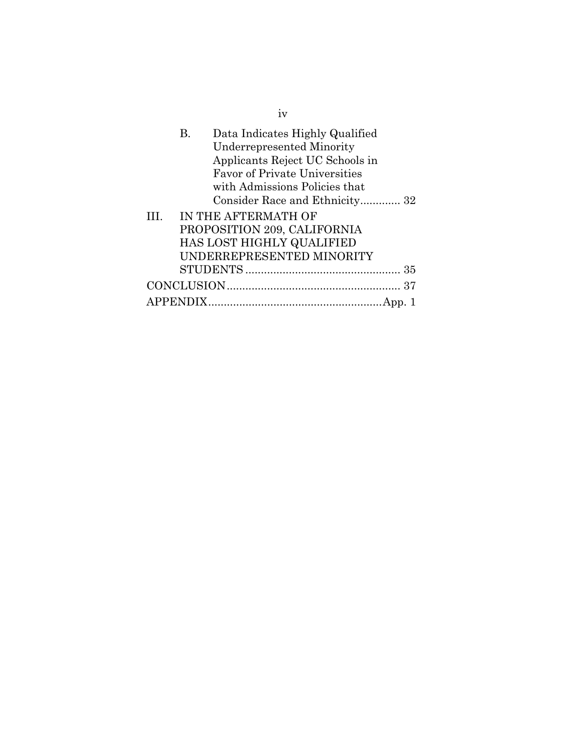|   | В. | Data Indicates Highly Qualified<br><b>Underrepresented Minority</b><br>Applicants Reject UC Schools in<br><b>Favor of Private Universities</b><br>with Admissions Policies that<br>Consider Race and Ethnicity 32 |  |
|---|----|-------------------------------------------------------------------------------------------------------------------------------------------------------------------------------------------------------------------|--|
| Ш |    | IN THE AFTERMATH OF                                                                                                                                                                                               |  |
|   |    | PROPOSITION 209, CALIFORNIA                                                                                                                                                                                       |  |
|   |    | HAS LOST HIGHLY QUALIFIED                                                                                                                                                                                         |  |
|   |    | UNDERREPRESENTED MINORITY                                                                                                                                                                                         |  |
|   |    |                                                                                                                                                                                                                   |  |
|   |    |                                                                                                                                                                                                                   |  |
|   |    |                                                                                                                                                                                                                   |  |

iv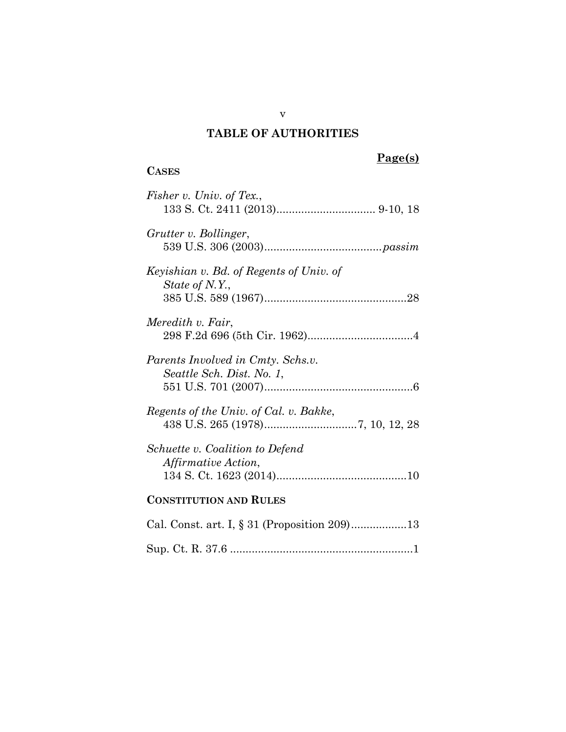## **TABLE OF AUTHORITIES**

## **CASES**

| Fisher v. Univ. of Tex.,                                       |
|----------------------------------------------------------------|
| Grutter v. Bollinger,                                          |
| Keyishian v. Bd. of Regents of Univ. of<br>State of N.Y.,      |
| Meredith v. Fair,                                              |
| Parents Involved in Cmty. Schs.v.<br>Seattle Sch. Dist. No. 1, |
| Regents of the Univ. of Cal. v. Bakke,                         |
| Schuette v. Coalition to Defend<br><i>Affirmative Action,</i>  |
| <b>CONSTITUTION AND RULES</b>                                  |
|                                                                |
|                                                                |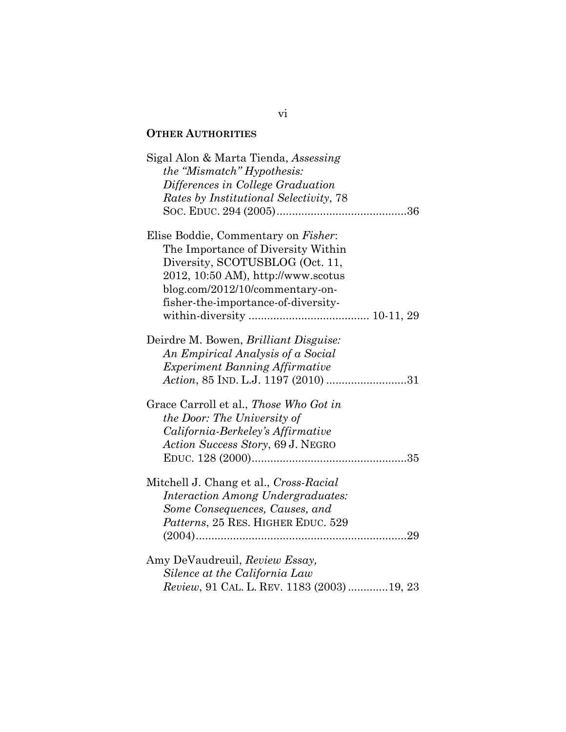## **OTHER AUTHORITIES**

| Sigal Alon & Marta Tienda, Assessing<br>the "Mismatch" Hypothesis:<br>Differences in College Graduation<br>Rates by Institutional Selectivity, 78                                                                            |
|------------------------------------------------------------------------------------------------------------------------------------------------------------------------------------------------------------------------------|
| Elise Boddie, Commentary on Fisher:<br>The Importance of Diversity Within<br>Diversity, SCOTUSBLOG (Oct. 11,<br>2012, 10:50 AM), http://www.scotus<br>blog.com/2012/10/commentary-on-<br>fisher-the-importance-of-diversity- |
| Deirdre M. Bowen, Brilliant Disguise:<br>An Empirical Analysis of a Social<br><i>Experiment Banning Affirmative</i><br>Action, 85 IND. L.J. 1197 (2010) 31                                                                   |
| Grace Carroll et al., Those Who Got in<br>the Door: The University of<br>California-Berkeley's Affirmative<br>Action Success Story, 69 J. NEGRO                                                                              |
| Mitchell J. Chang et al., Cross-Racial<br><i>Interaction Among Undergraduates:</i><br>Some Consequences, Causes, and<br>Patterns, 25 RES. HIGHER EDUC. 529                                                                   |
| Amy DeVaudreuil, Review Essay,<br>Silence at the California Law<br>Review, 91 CAL. L. REV. 1183 (2003) 19, 23                                                                                                                |

### vi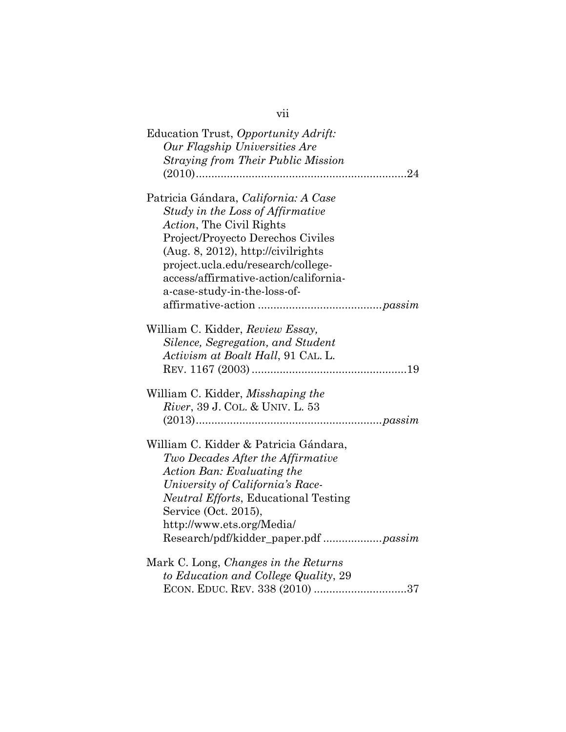| Education Trust, Opportunity Adrift:<br>Our Flagship Universities Are |
|-----------------------------------------------------------------------|
| <b>Straying from Their Public Mission</b>                             |
|                                                                       |
|                                                                       |
| Patricia Gándara, California: A Case                                  |
| Study in the Loss of Affirmative                                      |
| Action, The Civil Rights                                              |
| Project/Proyecto Derechos Civiles                                     |
| $(Aug. 8, 2012)$ , http://civilrights                                 |
| project.ucla.edu/research/college-                                    |
| access/affirmative-action/california-                                 |
| a-case-study-in-the-loss-of-                                          |
|                                                                       |
|                                                                       |
| William C. Kidder, Review Essay,                                      |
| Silence, Segregation, and Student                                     |
| Activism at Boalt Hall, 91 CAL. L.                                    |
|                                                                       |
|                                                                       |
| William C. Kidder, <i>Misshaping the</i>                              |
| River, 39 J. COL. & UNIV. L. 53                                       |
|                                                                       |
|                                                                       |
| William C. Kidder & Patricia Gándara,                                 |
| Two Decades After the Affirmative                                     |
| Action Ban: Evaluating the                                            |
| University of California's Race-                                      |
| <i>Neutral Efforts</i> , Educational Testing                          |
| Service (Oct. 2015),                                                  |
| http://www.ets.org/Media/                                             |
|                                                                       |
| Research/pdf/kidder_paper.pdf passim                                  |
| Mark C. Long, Changes in the Returns                                  |
| to Education and College Quality, 29                                  |
|                                                                       |
| ECON. EDUC. REV. 338 (2010) 37                                        |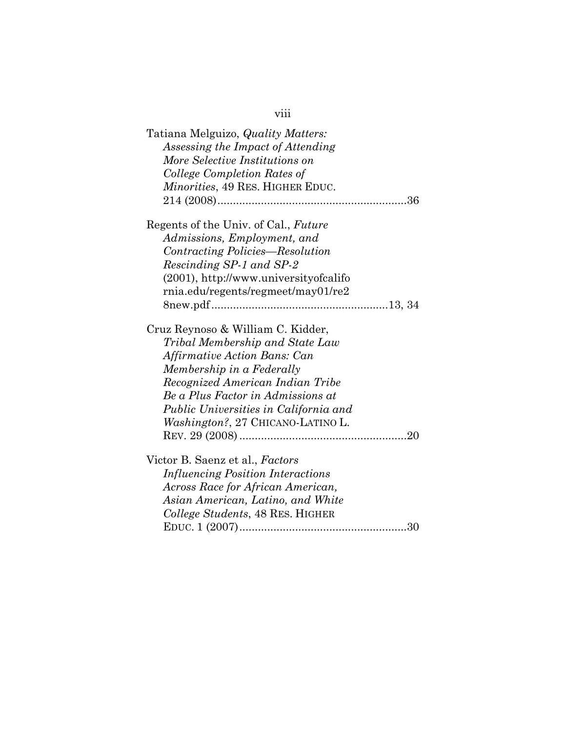| Tatiana Melguizo, Quality Matters:<br>Assessing the Impact of Attending<br>More Selective Institutions on<br>College Completion Rates of<br><i>Minorities</i> , 49 RES. HIGHER EDUC. |
|--------------------------------------------------------------------------------------------------------------------------------------------------------------------------------------|
| Regents of the Univ. of Cal., Future                                                                                                                                                 |
| Admissions, Employment, and                                                                                                                                                          |
| Contracting Policies—Resolution                                                                                                                                                      |
| Rescinding SP-1 and SP-2                                                                                                                                                             |
| $(2001)$ , http://www.universityofcalifo<br>rnia.edu/regents/regmeet/may01/re2                                                                                                       |
|                                                                                                                                                                                      |
| Cruz Reynoso & William C. Kidder,                                                                                                                                                    |
| Tribal Membership and State Law                                                                                                                                                      |
| Affirmative Action Bans: Can                                                                                                                                                         |
| Membership in a Federally                                                                                                                                                            |
| Recognized American Indian Tribe                                                                                                                                                     |
| Be a Plus Factor in Admissions at                                                                                                                                                    |
| Public Universities in California and                                                                                                                                                |
| Washington?, 27 CHICANO-LATINO L.                                                                                                                                                    |
|                                                                                                                                                                                      |
| Victor B. Saenz et al., Factors                                                                                                                                                      |
| <b>Influencing Position Interactions</b>                                                                                                                                             |
| Across Race for African American,                                                                                                                                                    |
| Asian American, Latino, and White                                                                                                                                                    |
| College Students, 48 RES. HIGHER                                                                                                                                                     |
| 30                                                                                                                                                                                   |

viii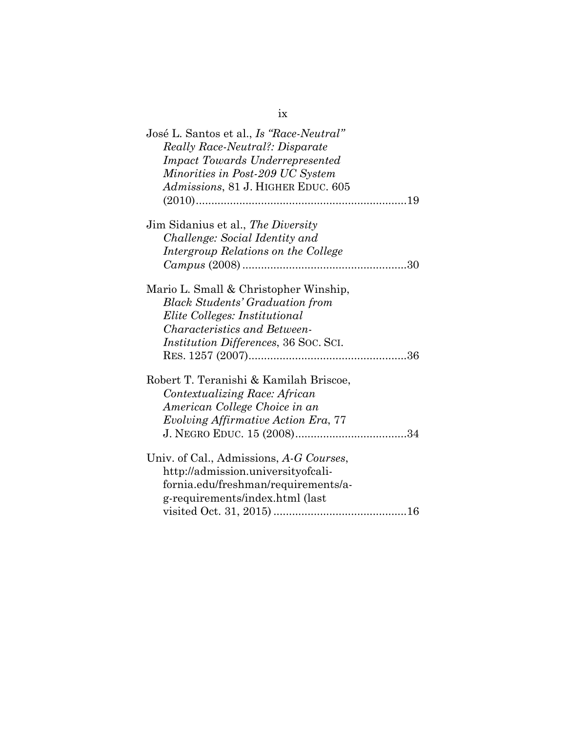| José L. Santos et al., <i>Is "Race-Neutral"</i><br><b>Really Race-Neutral?: Disparate</b><br><b>Impact Towards Underrepresented</b><br>Minorities in Post-209 UC System<br>Admissions, 81 J. HIGHER EDUC. 605 |
|---------------------------------------------------------------------------------------------------------------------------------------------------------------------------------------------------------------|
| Jim Sidanius et al., The Diversity<br>Challenge: Social Identity and<br>Intergroup Relations on the College                                                                                                   |
| Mario L. Small & Christopher Winship,<br><b>Black Students' Graduation from</b><br>Elite Colleges: Institutional<br><i>Characteristics and Between-</i><br><i>Institution Differences, 36 Soc. Sci.</i>       |
| Robert T. Teranishi & Kamilah Briscoe,<br>Contextualizing Race: African<br>American College Choice in an<br>Evolving Affirmative Action Era, 77                                                               |
| Univ. of Cal., Admissions, A-G Courses,<br>http://admission.universityofcali-<br>fornia.edu/freshman/requirements/a-<br>g-requirements/index.html (last                                                       |

ix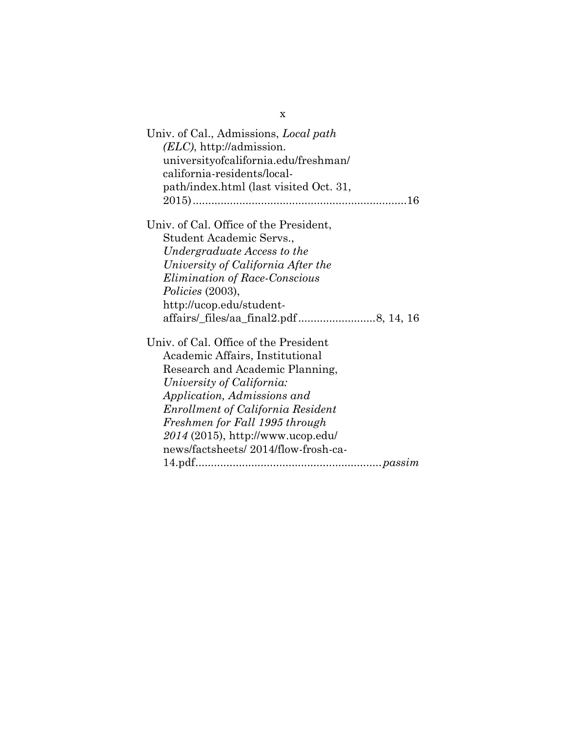| Univ. of Cal., Admissions, <i>Local path</i><br>$(ELC)$ , http://admission.<br>universityofcalifornia.edu/freshman/<br>california-residents/local-<br>path/index.html (last visited Oct. 31, |
|----------------------------------------------------------------------------------------------------------------------------------------------------------------------------------------------|
| Univ. of Cal. Office of the President,                                                                                                                                                       |
| Student Academic Servs.,                                                                                                                                                                     |
| Undergraduate Access to the                                                                                                                                                                  |
| University of California After the                                                                                                                                                           |
| <i>Elimination of Race-Conscious</i>                                                                                                                                                         |
| Policies (2003),                                                                                                                                                                             |
| http://ucop.edu/student-                                                                                                                                                                     |
|                                                                                                                                                                                              |
| Univ. of Cal. Office of the President                                                                                                                                                        |
| Academic Affairs, Institutional                                                                                                                                                              |
| Research and Academic Planning,                                                                                                                                                              |
| University of California:                                                                                                                                                                    |
| Application, Admissions and                                                                                                                                                                  |
| <b>Enrollment of California Resident</b>                                                                                                                                                     |
| Freshmen for Fall 1995 through                                                                                                                                                               |
| $2014$ (2015), http://www.ucop.edu/                                                                                                                                                          |
| news/factsheets/2014/flow-frosh-ca-                                                                                                                                                          |
|                                                                                                                                                                                              |

x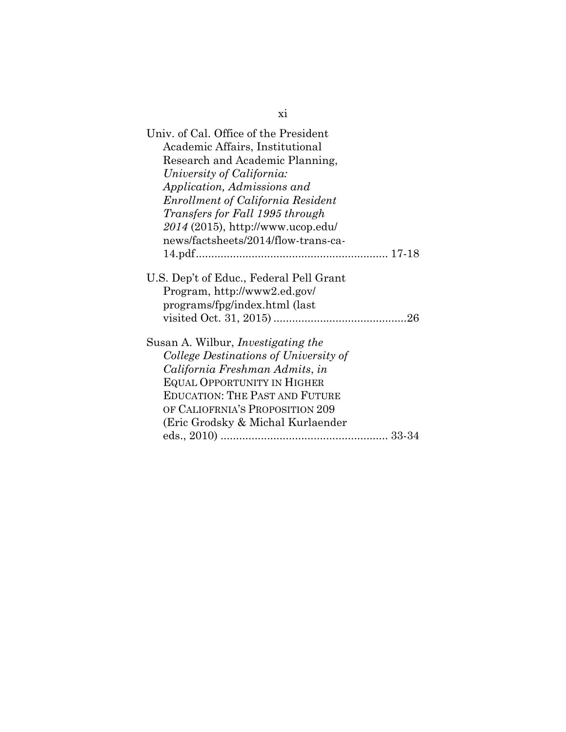| Univ. of Cal. Office of the President     |
|-------------------------------------------|
| Academic Affairs, Institutional           |
| Research and Academic Planning,           |
| University of California:                 |
| Application, Admissions and               |
| <b>Enrollment of California Resident</b>  |
| Transfers for Fall 1995 through           |
| $2014$ (2015), http://www.ucop.edu/       |
| news/factsheets/2014/flow-trans-ca-       |
|                                           |
|                                           |
| U.S. Dep't of Educ., Federal Pell Grant   |
| Program, http://www2.ed.gov/              |
| programs/fpg/index.html (last             |
|                                           |
|                                           |
| Susan A. Wilbur, <i>Investigating the</i> |
| College Destinations of University of     |
| California Freshman Admits, in            |
| <b>EQUAL OPPORTUNITY IN HIGHER</b>        |
| <b>EDUCATION: THE PAST AND FUTURE</b>     |
| OF CALIOFRNIA'S PROPOSITION 209           |
| (Eric Grodsky & Michal Kurlaender)        |
|                                           |

xi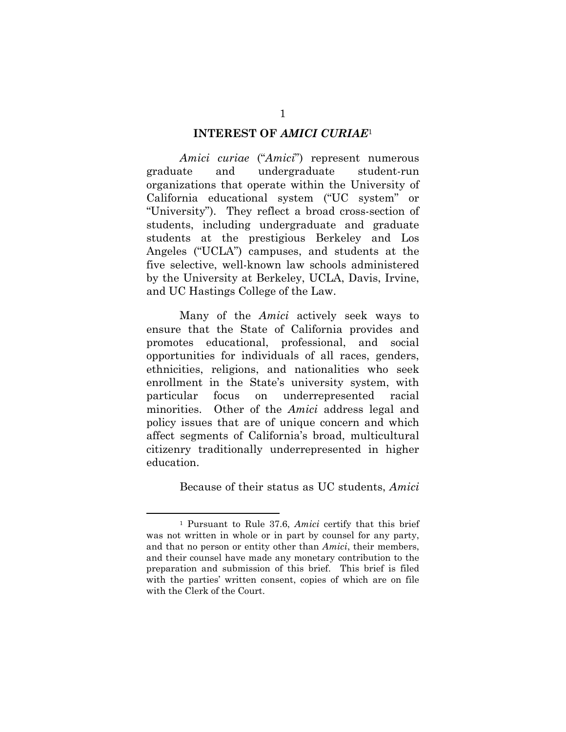#### **INTEREST OF** *AMICI CURIAE*<sup>1</sup>

*Amici curiae* ("*Amici*") represent numerous graduate and undergraduate student-run organizations that operate within the University of California educational system ("UC system" or "University"). They reflect a broad cross-section of students, including undergraduate and graduate students at the prestigious Berkeley and Los Angeles ("UCLA") campuses, and students at the five selective, well-known law schools administered by the University at Berkeley, UCLA, Davis, Irvine, and UC Hastings College of the Law.

Many of the *Amici* actively seek ways to ensure that the State of California provides and promotes educational, professional, and social opportunities for individuals of all races, genders, ethnicities, religions, and nationalities who seek enrollment in the State's university system, with particular focus on underrepresented racial minorities. Other of the *Amici* address legal and policy issues that are of unique concern and which affect segments of California's broad, multicultural citizenry traditionally underrepresented in higher education.

Because of their status as UC students, *Amici*

 <sup>1</sup> Pursuant to Rule 37.6, *Amici* certify that this brief was not written in whole or in part by counsel for any party, and that no person or entity other than *Amici*, their members, and their counsel have made any monetary contribution to the preparation and submission of this brief. This brief is filed with the parties' written consent, copies of which are on file with the Clerk of the Court.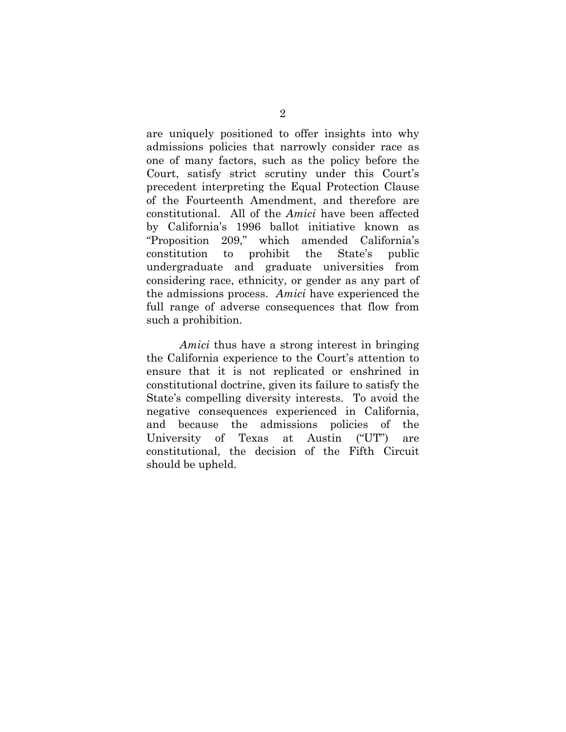are uniquely positioned to offer insights into why admissions policies that narrowly consider race as one of many factors, such as the policy before the Court, satisfy strict scrutiny under this Court's precedent interpreting the Equal Protection Clause of the Fourteenth Amendment, and therefore are constitutional. All of the *Amici* have been affected by California's 1996 ballot initiative known as "Proposition 209," which amended California's constitution to prohibit the State's public undergraduate and graduate universities from considering race, ethnicity, or gender as any part of the admissions process. *Amici* have experienced the full range of adverse consequences that flow from such a prohibition.

*Amici* thus have a strong interest in bringing the California experience to the Court's attention to ensure that it is not replicated or enshrined in constitutional doctrine, given its failure to satisfy the State's compelling diversity interests. To avoid the negative consequences experienced in California, and because the admissions policies of the University of Texas at Austin ("UT") are constitutional, the decision of the Fifth Circuit should be upheld.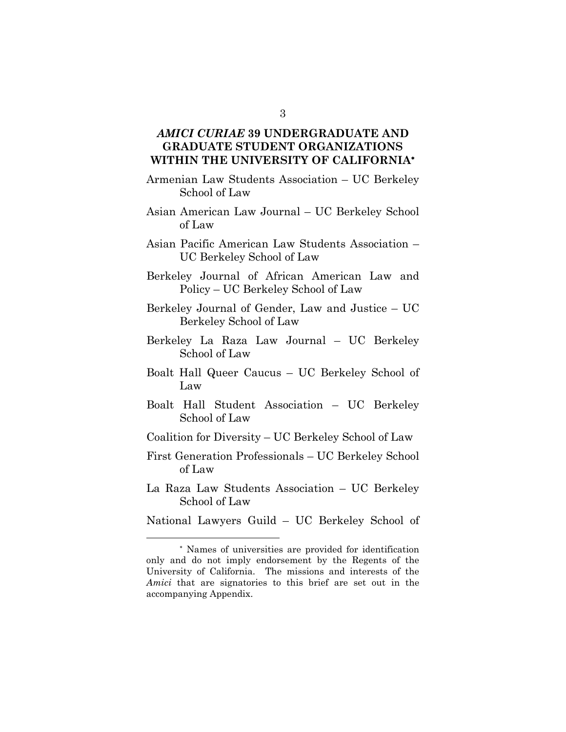### *AMICI CURIAE* **39 UNDERGRADUATE AND GRADUATE STUDENT ORGANIZATIONS WITHIN THE UNIVERSITY OF CALIFORNIA**

- Armenian Law Students Association UC Berkeley School of Law
- Asian American Law Journal UC Berkeley School of Law
- Asian Pacific American Law Students Association UC Berkeley School of Law
- Berkeley Journal of African American Law and Policy – UC Berkeley School of Law
- Berkeley Journal of Gender, Law and Justice UC Berkeley School of Law
- Berkeley La Raza Law Journal UC Berkeley School of Law
- Boalt Hall Queer Caucus UC Berkeley School of Law
- Boalt Hall Student Association UC Berkeley School of Law
- Coalition for Diversity UC Berkeley School of Law
- First Generation Professionals UC Berkeley School of Law
- La Raza Law Students Association UC Berkeley School of Law
- National Lawyers Guild UC Berkeley School of

 Names of universities are provided for identification only and do not imply endorsement by the Regents of the University of California. The missions and interests of the *Amici* that are signatories to this brief are set out in the accompanying Appendix.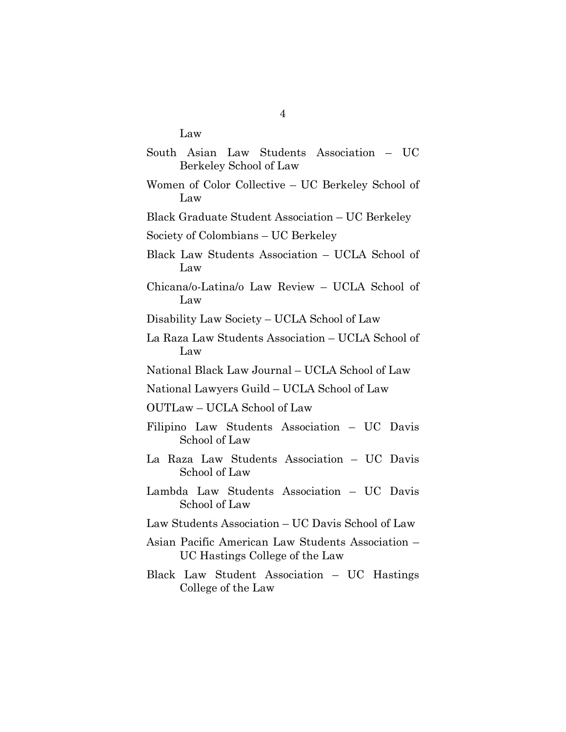Law

|                        |  |  |  | South Asian Law Students Association – UC |  |
|------------------------|--|--|--|-------------------------------------------|--|
| Berkeley School of Law |  |  |  |                                           |  |

- Women of Color Collective UC Berkeley School of Law
- Black Graduate Student Association UC Berkeley

Society of Colombians – UC Berkeley

- Black Law Students Association UCLA School of Law
- Chicana/o-Latina/o Law Review UCLA School of Law

Disability Law Society – UCLA School of Law

- La Raza Law Students Association UCLA School of Law
- National Black Law Journal UCLA School of Law

National Lawyers Guild – UCLA School of Law

OUTLaw – UCLA School of Law

- Filipino Law Students Association UC Davis School of Law
- La Raza Law Students Association UC Davis School of Law
- Lambda Law Students Association UC Davis School of Law
- Law Students Association UC Davis School of Law
- Asian Pacific American Law Students Association UC Hastings College of the Law
- Black Law Student Association UC Hastings College of the Law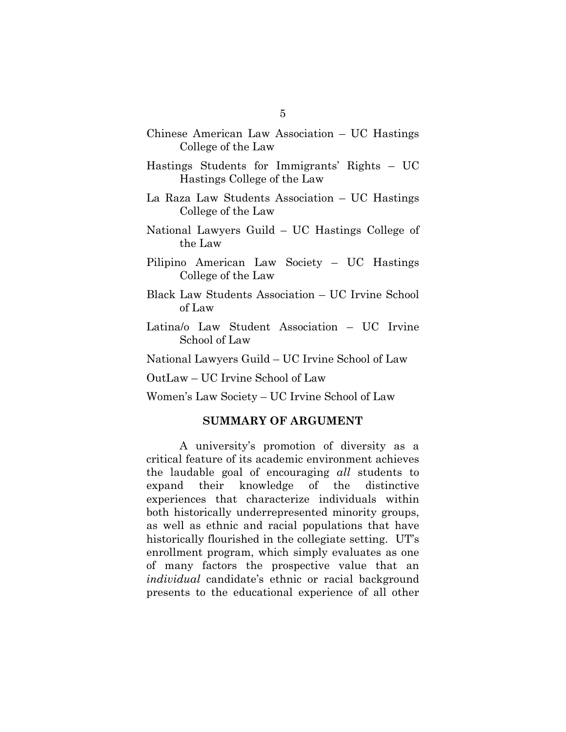- Chinese American Law Association UC Hastings College of the Law
- Hastings Students for Immigrants' Rights UC Hastings College of the Law
- La Raza Law Students Association UC Hastings College of the Law
- National Lawyers Guild UC Hastings College of the Law
- Pilipino American Law Society UC Hastings College of the Law
- Black Law Students Association UC Irvine School of Law
- Latina/o Law Student Association UC Irvine School of Law

National Lawyers Guild – UC Irvine School of Law

OutLaw – UC Irvine School of Law

Women's Law Society – UC Irvine School of Law

#### **SUMMARY OF ARGUMENT**

A university's promotion of diversity as a critical feature of its academic environment achieves the laudable goal of encouraging *all* students to expand their knowledge of the distinctive experiences that characterize individuals within both historically underrepresented minority groups, as well as ethnic and racial populations that have historically flourished in the collegiate setting. UT's enrollment program, which simply evaluates as one of many factors the prospective value that an *individual* candidate's ethnic or racial background presents to the educational experience of all other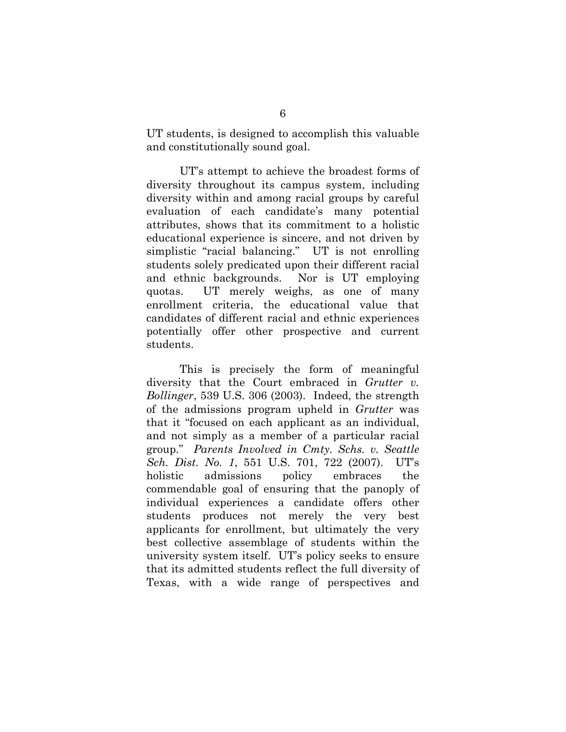UT students, is designed to accomplish this valuable and constitutionally sound goal.

UT's attempt to achieve the broadest forms of diversity throughout its campus system, including diversity within and among racial groups by careful evaluation of each candidate's many potential attributes, shows that its commitment to a holistic educational experience is sincere, and not driven by simplistic "racial balancing." UT is not enrolling students solely predicated upon their different racial and ethnic backgrounds. Nor is UT employing quotas. UT merely weighs, as one of many enrollment criteria, the educational value that candidates of different racial and ethnic experiences potentially offer other prospective and current students.

This is precisely the form of meaningful diversity that the Court embraced in *Grutter v. Bollinger*, 539 U.S. 306 (2003). Indeed, the strength of the admissions program upheld in *Grutter* was that it "focused on each applicant as an individual, and not simply as a member of a particular racial group." *Parents Involved in Cmty. Schs. v. Seattle Sch. Dist. No. 1*, 551 U.S. 701, 722 (2007). UT's holistic admissions policy embraces the commendable goal of ensuring that the panoply of individual experiences a candidate offers other students produces not merely the very best applicants for enrollment, but ultimately the very best collective assemblage of students within the university system itself. UT's policy seeks to ensure that its admitted students reflect the full diversity of Texas, with a wide range of perspectives and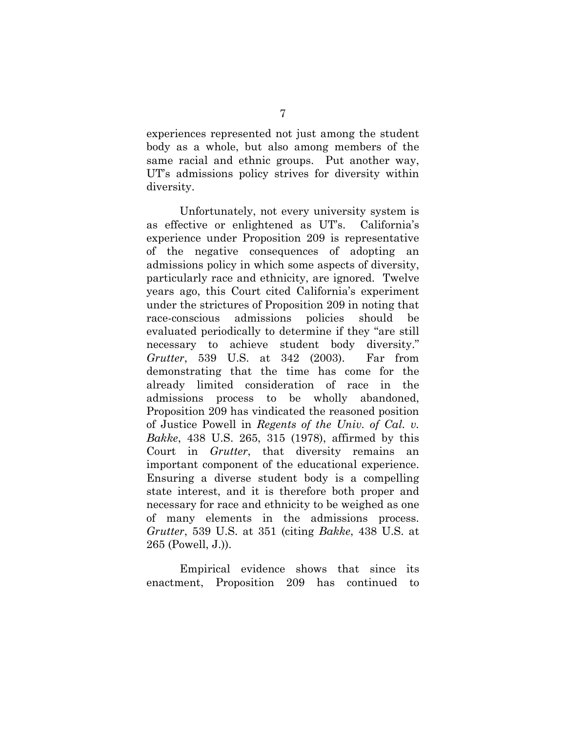experiences represented not just among the student body as a whole, but also among members of the same racial and ethnic groups. Put another way, UT's admissions policy strives for diversity within diversity.

Unfortunately, not every university system is as effective or enlightened as UT's. California's experience under Proposition 209 is representative of the negative consequences of adopting an admissions policy in which some aspects of diversity, particularly race and ethnicity, are ignored. Twelve years ago, this Court cited California's experiment under the strictures of Proposition 209 in noting that race-conscious admissions policies should be evaluated periodically to determine if they "are still necessary to achieve student body diversity." *Grutter*, 539 U.S. at 342 (2003). Far from demonstrating that the time has come for the already limited consideration of race in the admissions process to be wholly abandoned, Proposition 209 has vindicated the reasoned position of Justice Powell in *Regents of the Univ. of Cal. v. Bakke*, 438 U.S. 265, 315 (1978), affirmed by this Court in *Grutter*, that diversity remains an important component of the educational experience. Ensuring a diverse student body is a compelling state interest, and it is therefore both proper and necessary for race and ethnicity to be weighed as one of many elements in the admissions process. *Grutter*, 539 U.S. at 351 (citing *Bakke*, 438 U.S. at 265 (Powell, J.)).

Empirical evidence shows that since its enactment, Proposition 209 has continued to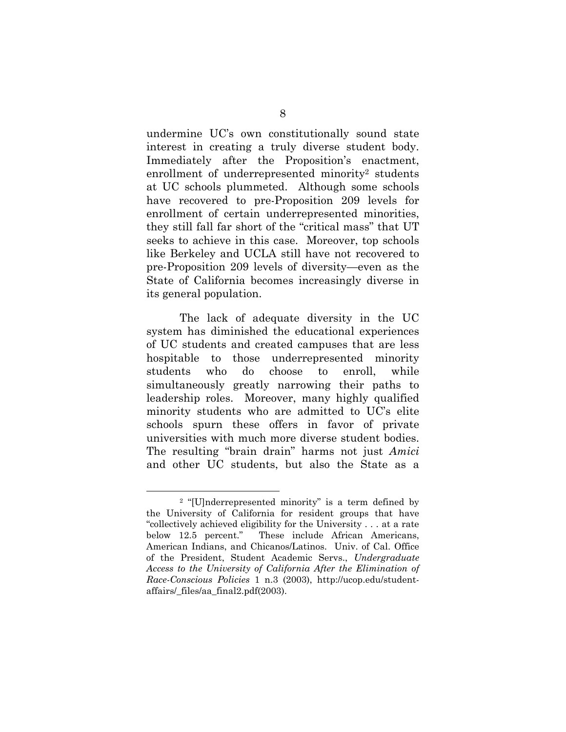undermine UC's own constitutionally sound state interest in creating a truly diverse student body. Immediately after the Proposition's enactment, enrollment of underrepresented minority<sup>2</sup> students at UC schools plummeted. Although some schools have recovered to pre-Proposition 209 levels for enrollment of certain underrepresented minorities, they still fall far short of the "critical mass" that UT seeks to achieve in this case. Moreover, top schools like Berkeley and UCLA still have not recovered to pre-Proposition 209 levels of diversity—even as the State of California becomes increasingly diverse in its general population.

The lack of adequate diversity in the UC system has diminished the educational experiences of UC students and created campuses that are less hospitable to those underrepresented minority students who do choose to enroll, while simultaneously greatly narrowing their paths to leadership roles. Moreover, many highly qualified minority students who are admitted to UC's elite schools spurn these offers in favor of private universities with much more diverse student bodies. The resulting "brain drain" harms not just *Amici* and other UC students, but also the State as a

 <sup>2 &</sup>quot;[U]nderrepresented minority" is a term defined by the University of California for resident groups that have "collectively achieved eligibility for the University . . . at a rate below 12.5 percent." These include African Americans, American Indians, and Chicanos/Latinos. Univ. of Cal. Office of the President, Student Academic Servs., *Undergraduate Access to the University of California After the Elimination of Race-Conscious Policies* 1 n.3 (2003), http://ucop.edu/studentaffairs/\_files/aa\_final2.pdf(2003).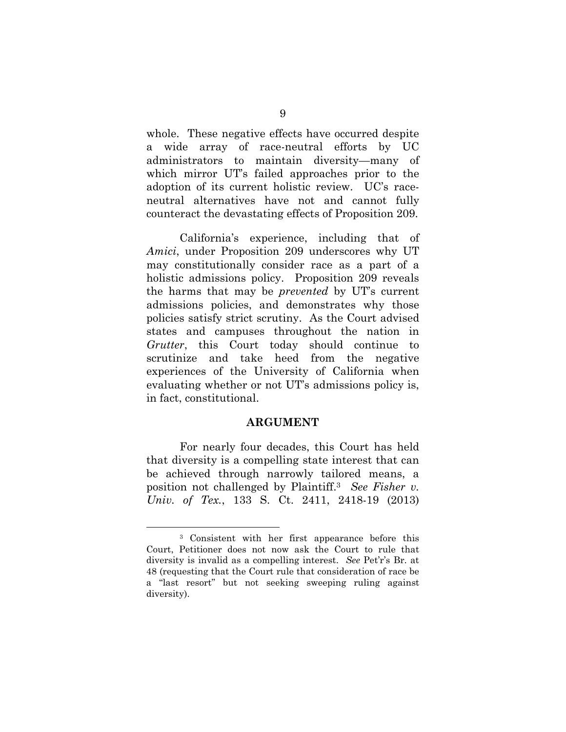whole. These negative effects have occurred despite a wide array of race-neutral efforts by UC administrators to maintain diversity—many of which mirror UT's failed approaches prior to the adoption of its current holistic review. UC's raceneutral alternatives have not and cannot fully counteract the devastating effects of Proposition 209.

California's experience, including that of *Amici*, under Proposition 209 underscores why UT may constitutionally consider race as a part of a holistic admissions policy. Proposition 209 reveals the harms that may be *prevented* by UT's current admissions policies, and demonstrates why those policies satisfy strict scrutiny. As the Court advised states and campuses throughout the nation in *Grutter*, this Court today should continue to scrutinize and take heed from the negative experiences of the University of California when evaluating whether or not UT's admissions policy is, in fact, constitutional.

#### **ARGUMENT**

For nearly four decades, this Court has held that diversity is a compelling state interest that can be achieved through narrowly tailored means, a position not challenged by Plaintiff.3 *See Fisher v. Univ. of Tex.*, 133 S. Ct. 2411, 2418-19 (2013)

 <sup>3</sup> Consistent with her first appearance before this Court, Petitioner does not now ask the Court to rule that diversity is invalid as a compelling interest. *See* Pet'r's Br. at 48 (requesting that the Court rule that consideration of race be a "last resort" but not seeking sweeping ruling against diversity).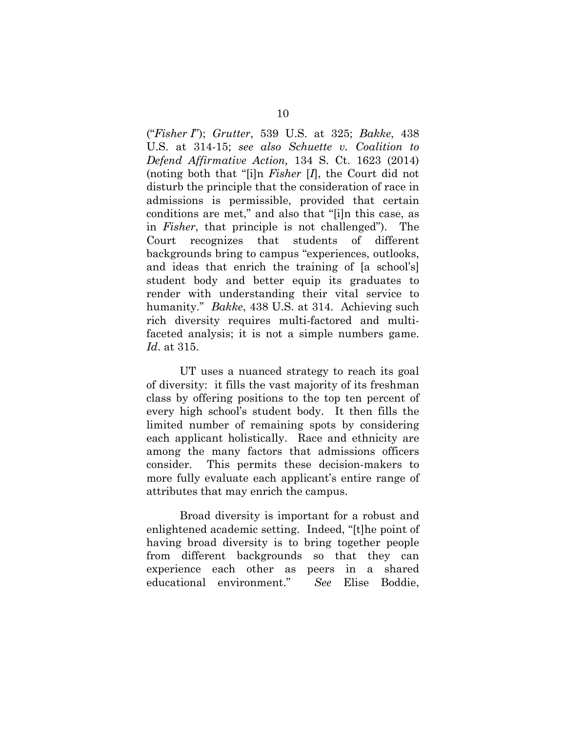("*Fisher I*"); *Grutter*, 539 U.S. at 325; *Bakke*, 438 U.S. at 314-15; *see also Schuette v. Coalition to Defend Affirmative Action,* 134 S. Ct. 1623 (2014) (noting both that "[i]n *Fisher* [*I*], the Court did not disturb the principle that the consideration of race in admissions is permissible, provided that certain conditions are met," and also that "[i]n this case, as in *Fisher*, that principle is not challenged"). The Court recognizes that students of different backgrounds bring to campus "experiences, outlooks, and ideas that enrich the training of [a school's] student body and better equip its graduates to render with understanding their vital service to humanity." *Bakke*, 438 U.S. at 314. Achieving such rich diversity requires multi-factored and multifaceted analysis; it is not a simple numbers game. *Id*. at 315.

UT uses a nuanced strategy to reach its goal of diversity: it fills the vast majority of its freshman class by offering positions to the top ten percent of every high school's student body. It then fills the limited number of remaining spots by considering each applicant holistically. Race and ethnicity are among the many factors that admissions officers consider. This permits these decision-makers to more fully evaluate each applicant's entire range of attributes that may enrich the campus.

Broad diversity is important for a robust and enlightened academic setting. Indeed, "[t]he point of having broad diversity is to bring together people from different backgrounds so that they can experience each other as peers in a shared educational environment." *See* Elise Boddie,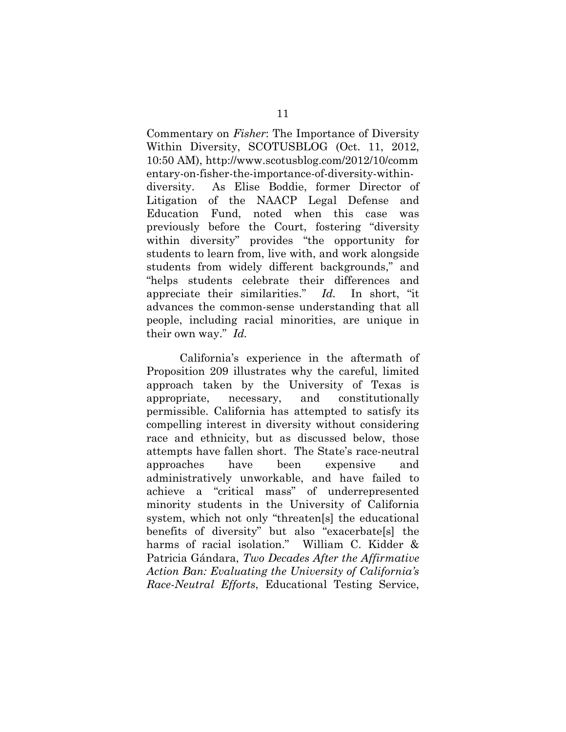Commentary on *Fisher*: The Importance of Diversity Within Diversity, SCOTUSBLOG (Oct. 11, 2012, 10:50 AM), http://www.scotusblog.com/2012/10/comm entary-on-fisher-the-importance-of-diversity-withindiversity. As Elise Boddie, former Director of Litigation of the NAACP Legal Defense and Education Fund, noted when this case was previously before the Court, fostering "diversity within diversity" provides "the opportunity for students to learn from, live with, and work alongside students from widely different backgrounds," and "helps students celebrate their differences and appreciate their similarities." *Id.* In short, "it advances the common-sense understanding that all people, including racial minorities, are unique in their own way." *Id.*

California's experience in the aftermath of Proposition 209 illustrates why the careful, limited approach taken by the University of Texas is appropriate, necessary, and constitutionally permissible. California has attempted to satisfy its compelling interest in diversity without considering race and ethnicity, but as discussed below, those attempts have fallen short. The State's race-neutral approaches have been expensive and administratively unworkable, and have failed to achieve a "critical mass" of underrepresented minority students in the University of California system, which not only "threaten[s] the educational benefits of diversity" but also "exacerbate[s] the harms of racial isolation." William C. Kidder & Patricia Gándara, *Two Decades After the Affirmative Action Ban: Evaluating the University of California's Race-Neutral Efforts*, Educational Testing Service,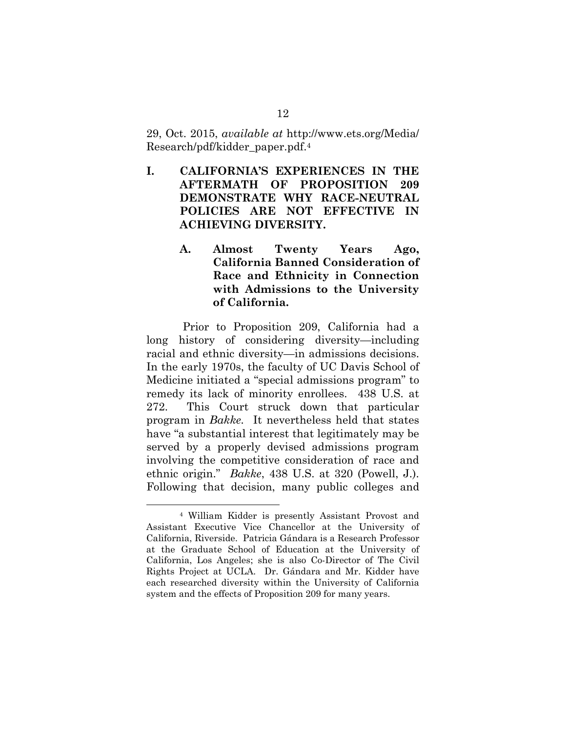29, Oct. 2015, *available at* http://www.ets.org/Media/ Research/pdf/kidder\_paper.pdf.4

- **I. CALIFORNIA'S EXPERIENCES IN THE AFTERMATH OF PROPOSITION 209 DEMONSTRATE WHY RACE-NEUTRAL POLICIES ARE NOT EFFECTIVE IN ACHIEVING DIVERSITY.** 
	- **A. Almost Twenty Years Ago, California Banned Consideration of Race and Ethnicity in Connection with Admissions to the University of California.**

 Prior to Proposition 209, California had a long history of considering diversity—including racial and ethnic diversity—in admissions decisions. In the early 1970s, the faculty of UC Davis School of Medicine initiated a "special admissions program" to remedy its lack of minority enrollees. 438 U.S. at 272. This Court struck down that particular program in *Bakke.* It nevertheless held that states have "a substantial interest that legitimately may be served by a properly devised admissions program involving the competitive consideration of race and ethnic origin." *Bakke*, 438 U.S. at 320 (Powell, J.). Following that decision, many public colleges and

 <sup>4</sup> William Kidder is presently Assistant Provost and Assistant Executive Vice Chancellor at the University of California, Riverside. Patricia Gándara is a Research Professor at the Graduate School of Education at the University of California, Los Angeles; she is also Co-Director of The Civil Rights Project at UCLA. Dr. Gándara and Mr. Kidder have each researched diversity within the University of California system and the effects of Proposition 209 for many years.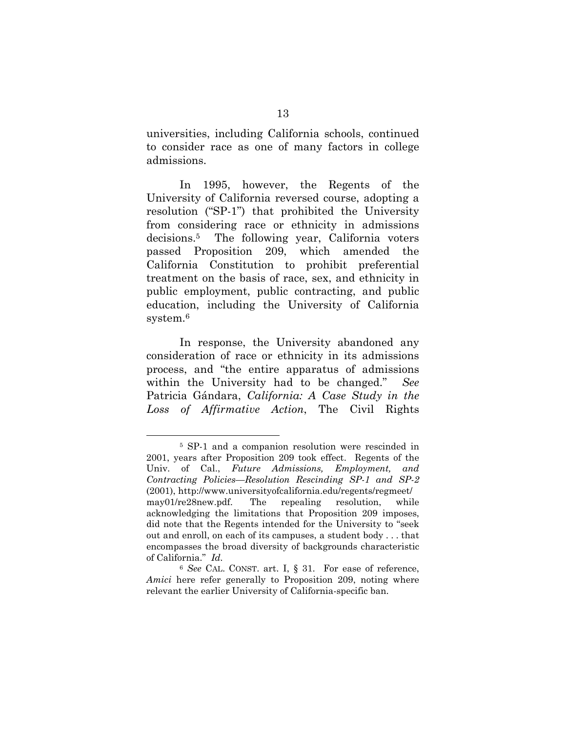universities, including California schools, continued to consider race as one of many factors in college admissions.

In 1995, however, the Regents of the University of California reversed course, adopting a resolution ("SP-1") that prohibited the University from considering race or ethnicity in admissions decisions.5 The following year, California voters passed Proposition 209, which amended the California Constitution to prohibit preferential treatment on the basis of race, sex, and ethnicity in public employment, public contracting, and public education, including the University of California system.<sup>6</sup>

In response, the University abandoned any consideration of race or ethnicity in its admissions process, and "the entire apparatus of admissions within the University had to be changed." *See*  Patricia Gándara, *California: A Case Study in the Loss of Affirmative Action*, The Civil Rights

 <sup>5</sup> SP-1 and a companion resolution were rescinded in 2001, years after Proposition 209 took effect. Regents of the Univ. of Cal., *Future Admissions, Employment, and Contracting Policies—Resolution Rescinding SP-1 and SP-2* (2001), http://www.universityofcalifornia.edu/regents/regmeet/ may01/re28new.pdf. The repealing resolution, while acknowledging the limitations that Proposition 209 imposes, did note that the Regents intended for the University to "seek out and enroll, on each of its campuses, a student body . . . that encompasses the broad diversity of backgrounds characteristic of California." *Id.* 

<sup>6</sup> *See* CAL. CONST. art. I, § 31. For ease of reference, *Amici* here refer generally to Proposition 209, noting where relevant the earlier University of California-specific ban.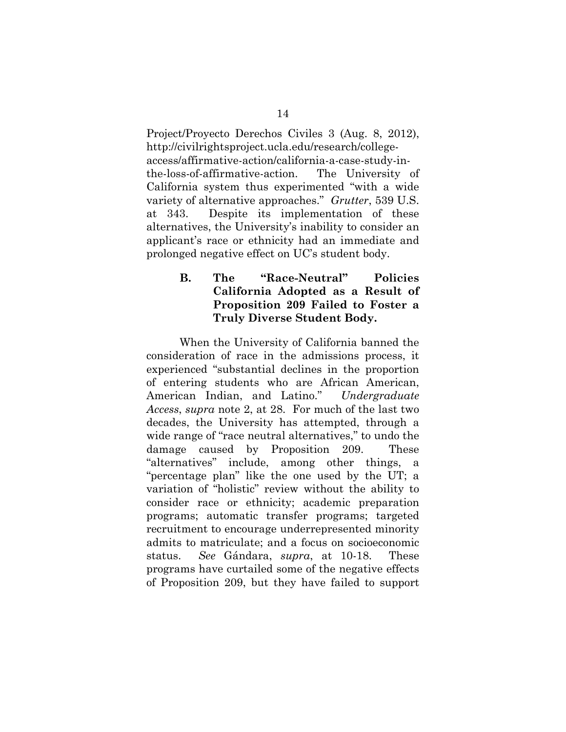Project/Proyecto Derechos Civiles 3 (Aug. 8, 2012), http://civilrightsproject.ucla.edu/research/collegeaccess/affirmative-action/california-a-case-study-inthe-loss-of-affirmative-action. The University of California system thus experimented "with a wide variety of alternative approaches." *Grutter*, 539 U.S. at 343. Despite its implementation of these alternatives, the University's inability to consider an applicant's race or ethnicity had an immediate and prolonged negative effect on UC's student body.

## **B. The "Race-Neutral" Policies California Adopted as a Result of Proposition 209 Failed to Foster a Truly Diverse Student Body.**

When the University of California banned the consideration of race in the admissions process, it experienced "substantial declines in the proportion of entering students who are African American, American Indian, and Latino." *Undergraduate Access*, *supra* note 2, at 28. For much of the last two decades, the University has attempted, through a wide range of "race neutral alternatives," to undo the damage caused by Proposition 209. These "alternatives" include, among other things, a "percentage plan" like the one used by the UT; a variation of "holistic" review without the ability to consider race or ethnicity; academic preparation programs; automatic transfer programs; targeted recruitment to encourage underrepresented minority admits to matriculate; and a focus on socioeconomic status. *See* Gándara, *supra*, at 10-18. These programs have curtailed some of the negative effects of Proposition 209, but they have failed to support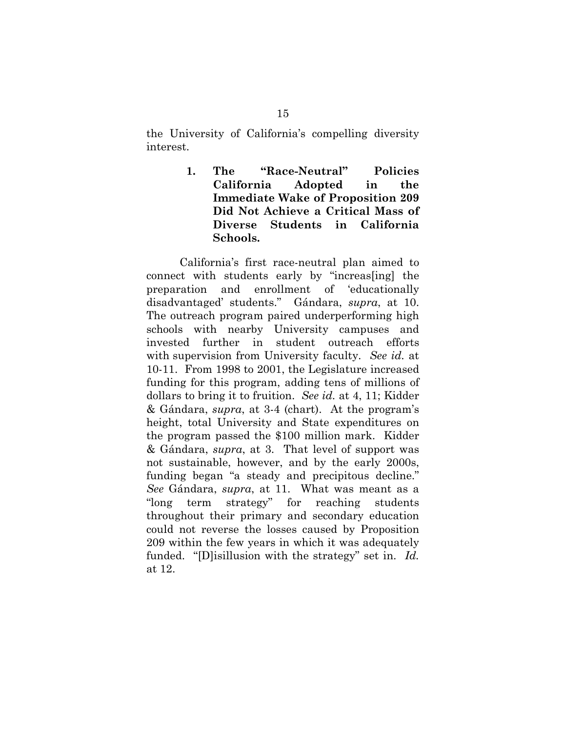the University of California's compelling diversity interest.

> **1. The "Race-Neutral" Policies California Adopted in the Immediate Wake of Proposition 209 Did Not Achieve a Critical Mass of Diverse Students in California Schools.**

California's first race-neutral plan aimed to connect with students early by "increas[ing] the preparation and enrollment of 'educationally disadvantaged' students." Gándara, *supra*, at 10. The outreach program paired underperforming high schools with nearby University campuses and invested further in student outreach efforts with supervision from University faculty. *See id.* at 10-11. From 1998 to 2001, the Legislature increased funding for this program, adding tens of millions of dollars to bring it to fruition. *See id.* at 4, 11; Kidder & Gándara, *supra*, at 3-4 (chart). At the program's height, total University and State expenditures on the program passed the \$100 million mark. Kidder & Gándara, *supra*, at 3. That level of support was not sustainable, however, and by the early 2000s, funding began "a steady and precipitous decline." *See* Gándara, *supra*, at 11. What was meant as a "long term strategy" for reaching students throughout their primary and secondary education could not reverse the losses caused by Proposition 209 within the few years in which it was adequately funded. "[D]isillusion with the strategy" set in. *Id.* at 12.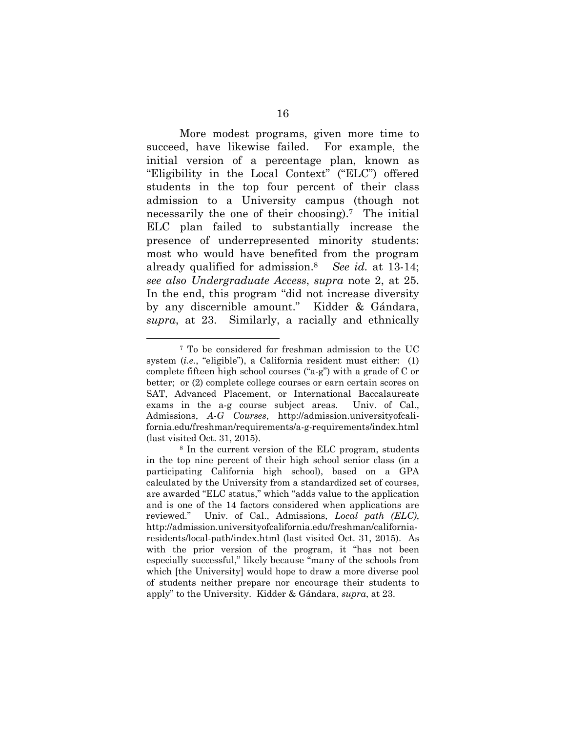More modest programs, given more time to succeed, have likewise failed. For example, the initial version of a percentage plan, known as "Eligibility in the Local Context" ("ELC") offered students in the top four percent of their class admission to a University campus (though not necessarily the one of their choosing).7 The initial ELC plan failed to substantially increase the presence of underrepresented minority students: most who would have benefited from the program already qualified for admission.8 *See id.* at 13-14; *see also Undergraduate Access*, *supra* note 2, at 25. In the end, this program "did not increase diversity by any discernible amount." Kidder & Gándara, *supra*, at 23. Similarly, a racially and ethnically

 <sup>7</sup> To be considered for freshman admission to the UC system (*i.e.*, "eligible"), a California resident must either: (1) complete fifteen high school courses ("a-g") with a grade of C or better; or (2) complete college courses or earn certain scores on SAT, Advanced Placement, or International Baccalaureate exams in the a-g course subject areas. Univ. of Cal., Admissions, *A-G Courses*, http://admission.universityofcalifornia.edu/freshman/requirements/a-g-requirements/index.html (last visited Oct. 31, 2015).

<sup>8</sup> In the current version of the ELC program, students in the top nine percent of their high school senior class (in a participating California high school), based on a GPA calculated by the University from a standardized set of courses, are awarded "ELC status," which "adds value to the application and is one of the 14 factors considered when applications are reviewed." Univ. of Cal., Admissions, *Local path (ELC)*, http://admission.universityofcalifornia.edu/freshman/californiaresidents/local-path/index.html (last visited Oct. 31, 2015). As with the prior version of the program, it "has not been especially successful," likely because "many of the schools from which [the University] would hope to draw a more diverse pool of students neither prepare nor encourage their students to apply" to the University. Kidder & Gándara, *supra*, at 23.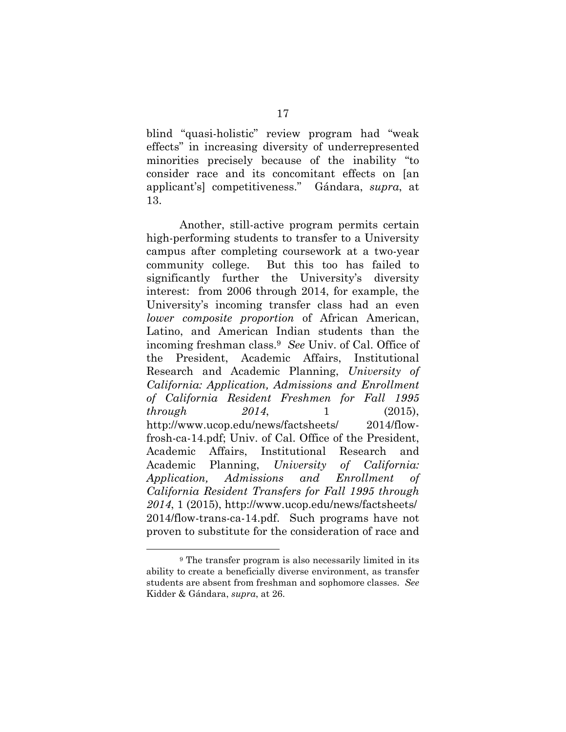blind "quasi-holistic" review program had "weak effects" in increasing diversity of underrepresented minorities precisely because of the inability "to consider race and its concomitant effects on [an applicant's] competitiveness." Gándara, *supra*, at 13.

Another, still-active program permits certain high-performing students to transfer to a University campus after completing coursework at a two-year community college. But this too has failed to significantly further the University's diversity interest: from 2006 through 2014, for example, the University's incoming transfer class had an even *lower composite proportion* of African American, Latino, and American Indian students than the incoming freshman class.9 *See* Univ. of Cal. Office of the President, Academic Affairs, Institutional Research and Academic Planning, *University of California: Application, Admissions and Enrollment of California Resident Freshmen for Fall 1995 through 2014*, 1 (2015), http://www.ucop.edu/news/factsheets/ 2014/flowfrosh-ca-14.pdf; Univ. of Cal. Office of the President, Academic Affairs, Institutional Research and Academic Planning, *University of California: Application, Admissions and Enrollment of California Resident Transfers for Fall 1995 through 2014*, 1 (2015), http://www.ucop.edu/news/factsheets/ 2014/flow-trans-ca-14.pdf. Such programs have not proven to substitute for the consideration of race and

 <sup>9</sup> The transfer program is also necessarily limited in its ability to create a beneficially diverse environment, as transfer students are absent from freshman and sophomore classes. *See*  Kidder & Gándara, *supra*, at 26.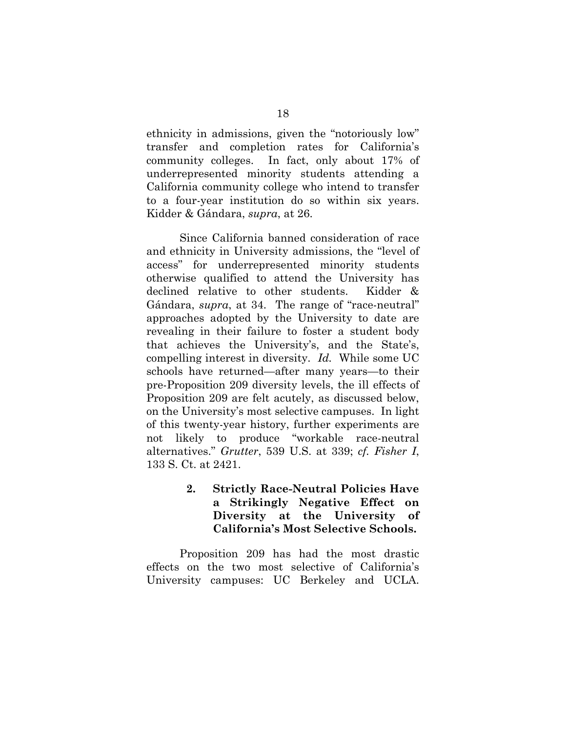ethnicity in admissions, given the "notoriously low" transfer and completion rates for California's community colleges. In fact, only about 17% of underrepresented minority students attending a California community college who intend to transfer to a four-year institution do so within six years. Kidder & Gándara, *supra*, at 26.

Since California banned consideration of race and ethnicity in University admissions, the "level of access" for underrepresented minority students otherwise qualified to attend the University has declined relative to other students. Kidder & Gándara, *supra*, at 34. The range of "race-neutral" approaches adopted by the University to date are revealing in their failure to foster a student body that achieves the University's, and the State's, compelling interest in diversity. *Id.* While some UC schools have returned—after many years—to their pre-Proposition 209 diversity levels, the ill effects of Proposition 209 are felt acutely, as discussed below, on the University's most selective campuses. In light of this twenty-year history, further experiments are not likely to produce "workable race-neutral alternatives." *Grutter*, 539 U.S. at 339; *cf. Fisher I*, 133 S. Ct. at 2421.

> **2. Strictly Race-Neutral Policies Have a Strikingly Negative Effect on Diversity at the University of California's Most Selective Schools.**

Proposition 209 has had the most drastic effects on the two most selective of California's University campuses: UC Berkeley and UCLA.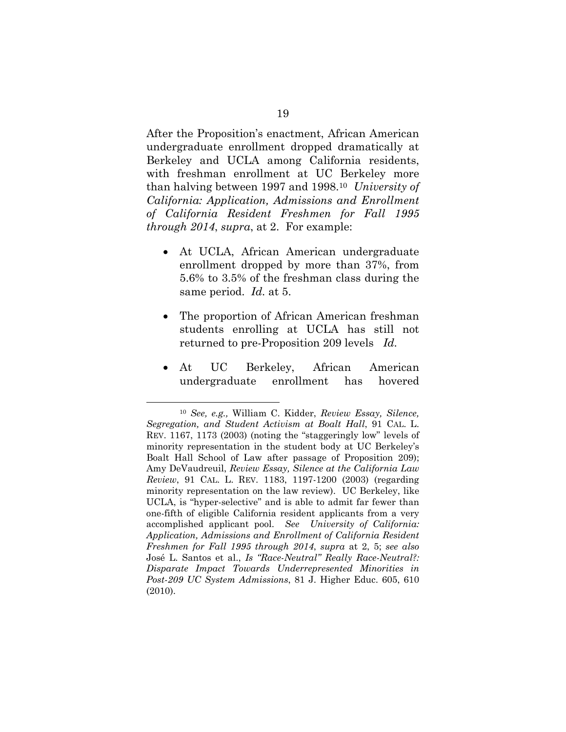After the Proposition's enactment, African American undergraduate enrollment dropped dramatically at Berkeley and UCLA among California residents, with freshman enrollment at UC Berkeley more than halving between 1997 and 1998.10 *University of California: Application, Admissions and Enrollment of California Resident Freshmen for Fall 1995 through 2014*, *supra*, at 2. For example:

- At UCLA, African American undergraduate enrollment dropped by more than 37%, from 5.6% to 3.5% of the freshman class during the same period. *Id.* at 5.
- The proportion of African American freshman students enrolling at UCLA has still not returned to pre-Proposition 209 levels *Id.*
- At UC Berkeley, African American undergraduate enrollment has hovered

 <sup>10</sup> *See, e.g.,* William C. Kidder, *Review Essay, Silence, Segregation, and Student Activism at Boalt Hall*, 91 CAL. L. REV. 1167, 1173 (2003) (noting the "staggeringly low" levels of minority representation in the student body at UC Berkeley's Boalt Hall School of Law after passage of Proposition 209); Amy DeVaudreuil, *Review Essay, Silence at the California Law Review*, 91 CAL. L. REV. 1183, 1197-1200 (2003) (regarding minority representation on the law review). UC Berkeley, like UCLA, is "hyper-selective" and is able to admit far fewer than one-fifth of eligible California resident applicants from a very accomplished applicant pool. *See University of California: Application, Admissions and Enrollment of California Resident Freshmen for Fall 1995 through 2014*, *supra* at 2, 5; *see also* José L. Santos et al., *Is "Race-Neutral" Really Race-Neutral?: Disparate Impact Towards Underrepresented Minorities in Post-209 UC System Admissions*, 81 J. Higher Educ. 605, 610 (2010).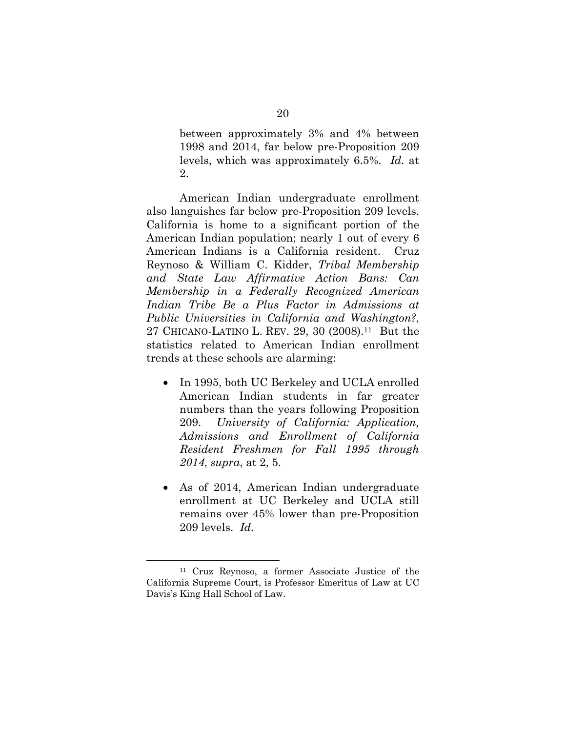between approximately 3% and 4% between 1998 and 2014, far below pre-Proposition 209 levels, which was approximately 6.5%. *Id.* at 2.

American Indian undergraduate enrollment also languishes far below pre-Proposition 209 levels. California is home to a significant portion of the American Indian population; nearly 1 out of every 6 American Indians is a California resident. Cruz Reynoso & William C. Kidder, *Tribal Membership and State Law Affirmative Action Bans: Can Membership in a Federally Recognized American Indian Tribe Be a Plus Factor in Admissions at Public Universities in California and Washington?*, 27 CHICANO-LATINO L. REV. 29, 30 (2008).11 But the statistics related to American Indian enrollment trends at these schools are alarming:

- In 1995, both UC Berkeley and UCLA enrolled American Indian students in far greater numbers than the years following Proposition 209. *University of California: Application, Admissions and Enrollment of California Resident Freshmen for Fall 1995 through 2014*, *supra*, at 2, 5.
- As of 2014, American Indian undergraduate enrollment at UC Berkeley and UCLA still remains over 45% lower than pre-Proposition 209 levels. *Id.*

 <sup>11</sup> Cruz Reynoso, a former Associate Justice of the California Supreme Court, is Professor Emeritus of Law at UC Davis's King Hall School of Law.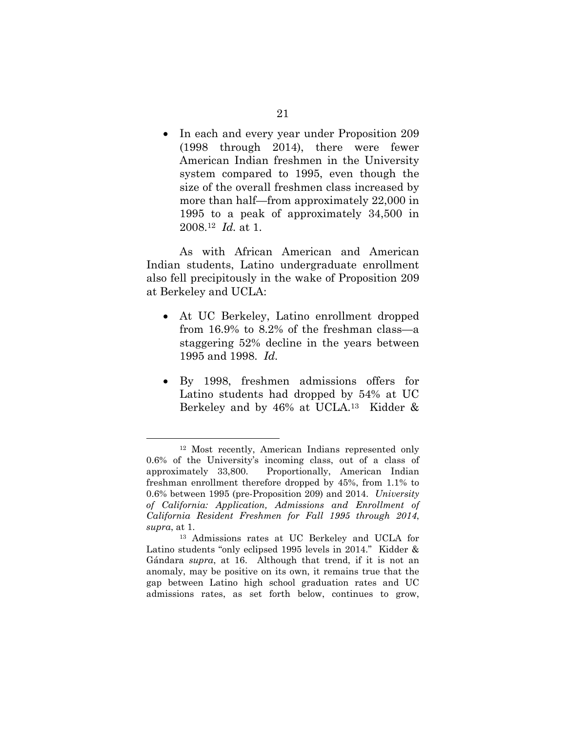• In each and every year under Proposition 209 (1998 through 2014), there were fewer American Indian freshmen in the University system compared to 1995, even though the size of the overall freshmen class increased by more than half—from approximately 22,000 in 1995 to a peak of approximately 34,500 in 2008.12 *Id.* at 1.

As with African American and American Indian students, Latino undergraduate enrollment also fell precipitously in the wake of Proposition 209 at Berkeley and UCLA:

- At UC Berkeley, Latino enrollment dropped from 16.9% to 8.2% of the freshman class—a staggering 52% decline in the years between 1995 and 1998. *Id.*
- By 1998, freshmen admissions offers for Latino students had dropped by 54% at UC Berkeley and by 46% at UCLA.13 Kidder &

 <sup>12</sup> Most recently, American Indians represented only 0.6% of the University's incoming class, out of a class of approximately 33,800. Proportionally, American Indian freshman enrollment therefore dropped by 45%, from 1.1% to 0.6% between 1995 (pre-Proposition 209) and 2014. *University of California: Application, Admissions and Enrollment of California Resident Freshmen for Fall 1995 through 2014*, *supra*, at 1.

<sup>13</sup> Admissions rates at UC Berkeley and UCLA for Latino students "only eclipsed 1995 levels in 2014." Kidder & Gándara *supra*, at 16. Although that trend, if it is not an anomaly, may be positive on its own, it remains true that the gap between Latino high school graduation rates and UC admissions rates, as set forth below, continues to grow,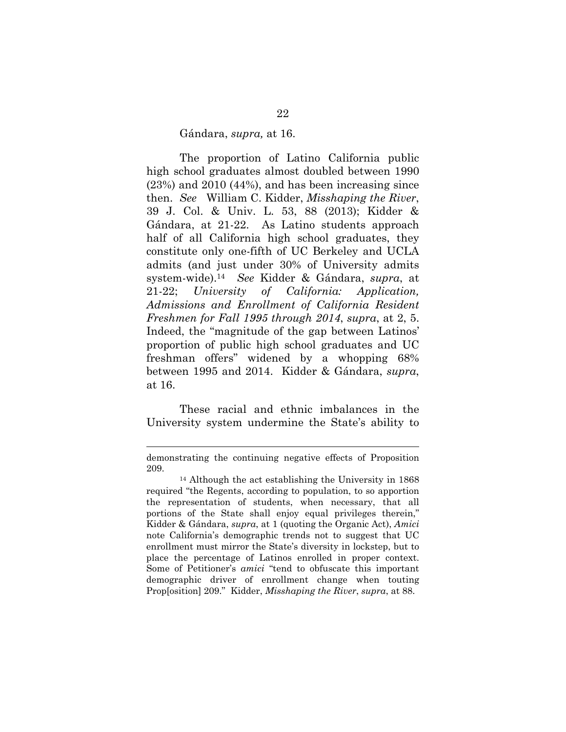#### Gándara, *supra,* at 16.

The proportion of Latino California public high school graduates almost doubled between 1990 (23%) and 2010 (44%), and has been increasing since then. *See* William C. Kidder, *Misshaping the River*, 39 J. Col. & Univ. L. 53, 88 (2013); Kidder & Gándara, at 21-22. As Latino students approach half of all California high school graduates, they constitute only one-fifth of UC Berkeley and UCLA admits (and just under 30% of University admits system-wide).14 *See* Kidder & Gándara, *supra*, at 21-22; *University of California: Application, Admissions and Enrollment of California Resident Freshmen for Fall 1995 through 2014*, *supra*, at 2, 5. Indeed, the "magnitude of the gap between Latinos' proportion of public high school graduates and UC freshman offers" widened by a whopping 68% between 1995 and 2014. Kidder & Gándara, *supra*, at 16.

These racial and ethnic imbalances in the University system undermine the State's ability to

l

demonstrating the continuing negative effects of Proposition 209. 14 Although the act establishing the University in 1868

required "the Regents, according to population, to so apportion the representation of students, when necessary, that all portions of the State shall enjoy equal privileges therein," Kidder & Gándara, *supra*, at 1 (quoting the Organic Act), *Amici* note California's demographic trends not to suggest that UC enrollment must mirror the State's diversity in lockstep, but to place the percentage of Latinos enrolled in proper context. Some of Petitioner's *amici* "tend to obfuscate this important demographic driver of enrollment change when touting Prop[osition] 209." Kidder, *Misshaping the River*, *supra*, at 88.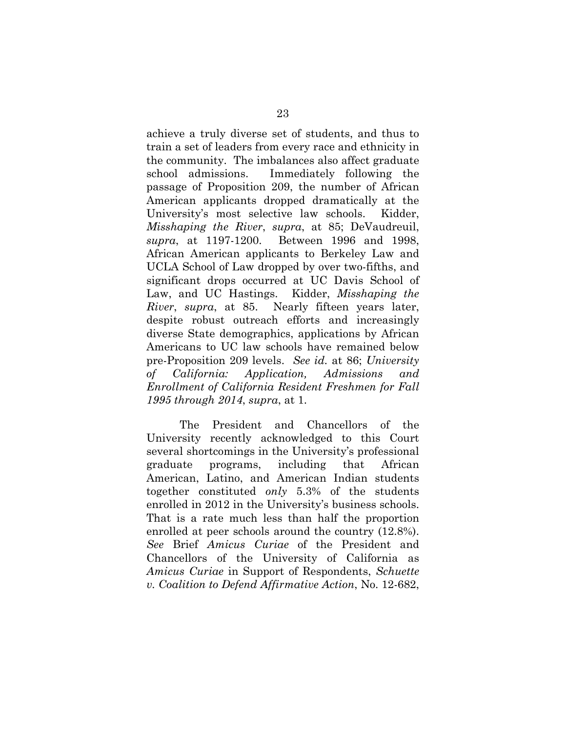achieve a truly diverse set of students, and thus to train a set of leaders from every race and ethnicity in the community. The imbalances also affect graduate school admissions. Immediately following the passage of Proposition 209, the number of African American applicants dropped dramatically at the University's most selective law schools. Kidder, *Misshaping the River*, *supra*, at 85; DeVaudreuil, *supra*, at 1197-1200. Between 1996 and 1998, African American applicants to Berkeley Law and UCLA School of Law dropped by over two-fifths, and significant drops occurred at UC Davis School of Law, and UC Hastings. Kidder, *Misshaping the River*, *supra*, at 85. Nearly fifteen years later, despite robust outreach efforts and increasingly diverse State demographics, applications by African Americans to UC law schools have remained below pre-Proposition 209 levels. *See id.* at 86; *University of California: Application, Admissions and Enrollment of California Resident Freshmen for Fall 1995 through 2014*, *supra*, at 1.

The President and Chancellors of the University recently acknowledged to this Court several shortcomings in the University's professional graduate programs, including that African American, Latino, and American Indian students together constituted *only* 5.3% of the students enrolled in 2012 in the University's business schools. That is a rate much less than half the proportion enrolled at peer schools around the country (12.8%). *See* Brief *Amicus Curiae* of the President and Chancellors of the University of California as *Amicus Curiae* in Support of Respondents, *Schuette v. Coalition to Defend Affirmative Action*, No. 12-682,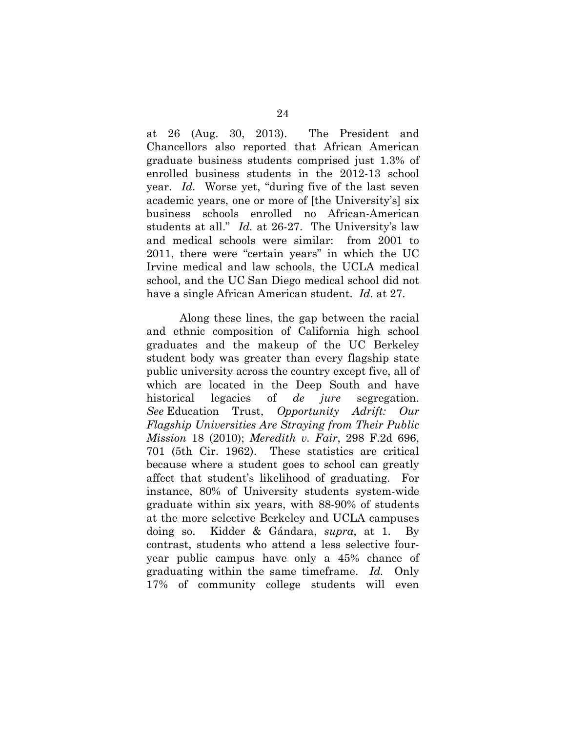at 26 (Aug. 30, 2013). The President and Chancellors also reported that African American graduate business students comprised just 1.3% of enrolled business students in the 2012-13 school year. *Id.* Worse yet, "during five of the last seven academic years, one or more of [the University's] six business schools enrolled no African-American students at all." *Id.* at 26-27. The University's law and medical schools were similar: from 2001 to 2011, there were "certain years" in which the UC Irvine medical and law schools, the UCLA medical school, and the UC San Diego medical school did not have a single African American student. *Id.* at 27.

Along these lines, the gap between the racial and ethnic composition of California high school graduates and the makeup of the UC Berkeley student body was greater than every flagship state public university across the country except five, all of which are located in the Deep South and have historical legacies of *de jure* segregation. *See* Education Trust, *Opportunity Adrift: Our Flagship Universities Are Straying from Their Public Mission* 18 (2010); *Meredith v. Fair*, 298 F.2d 696, 701 (5th Cir. 1962). These statistics are critical because where a student goes to school can greatly affect that student's likelihood of graduating. For instance, 80% of University students system-wide graduate within six years, with 88-90% of students at the more selective Berkeley and UCLA campuses doing so. Kidder & Gándara, *supra*, at 1. By contrast, students who attend a less selective fouryear public campus have only a 45% chance of graduating within the same timeframe. *Id.* Only 17% of community college students will even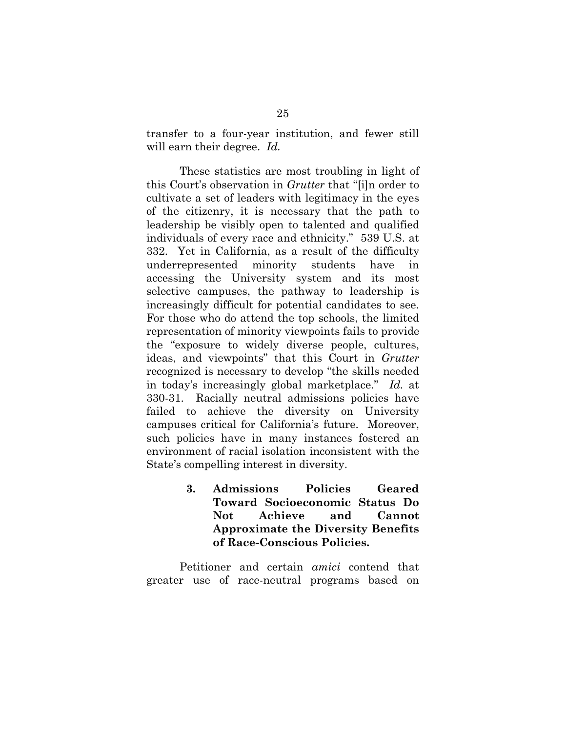transfer to a four-year institution, and fewer still will earn their degree. *Id.*

These statistics are most troubling in light of this Court's observation in *Grutter* that "[i]n order to cultivate a set of leaders with legitimacy in the eyes of the citizenry, it is necessary that the path to leadership be visibly open to talented and qualified individuals of every race and ethnicity." 539 U.S. at 332. Yet in California, as a result of the difficulty underrepresented minority students have in accessing the University system and its most selective campuses, the pathway to leadership is increasingly difficult for potential candidates to see. For those who do attend the top schools, the limited representation of minority viewpoints fails to provide the "exposure to widely diverse people, cultures, ideas, and viewpoints" that this Court in *Grutter* recognized is necessary to develop "the skills needed in today's increasingly global marketplace." *Id.* at 330-31. Racially neutral admissions policies have failed to achieve the diversity on University campuses critical for California's future. Moreover, such policies have in many instances fostered an environment of racial isolation inconsistent with the State's compelling interest in diversity.

> **3. Admissions Policies Geared Toward Socioeconomic Status Do Not Achieve and Cannot Approximate the Diversity Benefits of Race-Conscious Policies.**

Petitioner and certain *amici* contend that greater use of race-neutral programs based on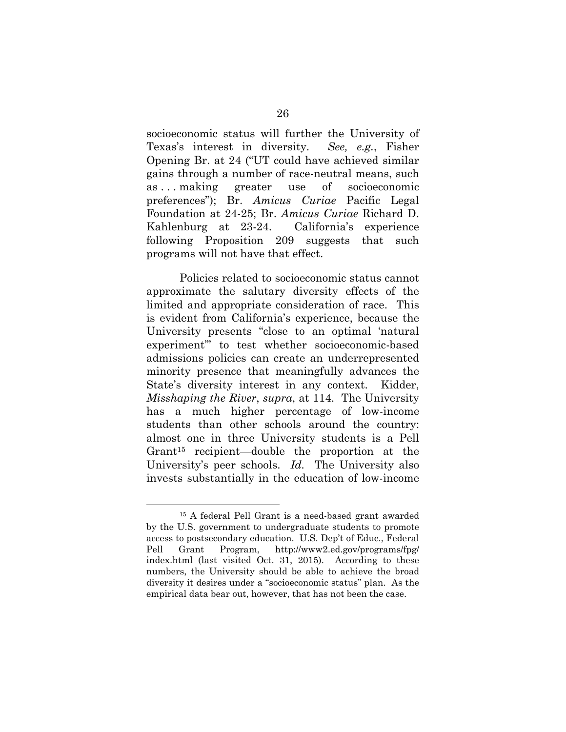socioeconomic status will further the University of Texas's interest in diversity. *See, e.g.*, Fisher Opening Br. at 24 ("UT could have achieved similar gains through a number of race-neutral means, such as . . . making greater use of socioeconomic preferences"); Br. *Amicus Curiae* Pacific Legal Foundation at 24-25; Br. *Amicus Curiae* Richard D. Kahlenburg at 23-24. California's experience following Proposition 209 suggests that such programs will not have that effect.

Policies related to socioeconomic status cannot approximate the salutary diversity effects of the limited and appropriate consideration of race. This is evident from California's experience, because the University presents "close to an optimal 'natural experiment'" to test whether socioeconomic-based admissions policies can create an underrepresented minority presence that meaningfully advances the State's diversity interest in any context. Kidder, *Misshaping the River*, *supra*, at 114. The University has a much higher percentage of low-income students than other schools around the country: almost one in three University students is a Pell Grant15 recipient—double the proportion at the University's peer schools. *Id.* The University also invests substantially in the education of low-income

 <sup>15</sup> A federal Pell Grant is a need-based grant awarded by the U.S. government to undergraduate students to promote access to postsecondary education. U.S. Dep't of Educ., Federal Pell Grant Program, http://www2.ed.gov/programs/fpg/ index.html (last visited Oct. 31, 2015). According to these numbers, the University should be able to achieve the broad diversity it desires under a "socioeconomic status" plan. As the empirical data bear out, however, that has not been the case.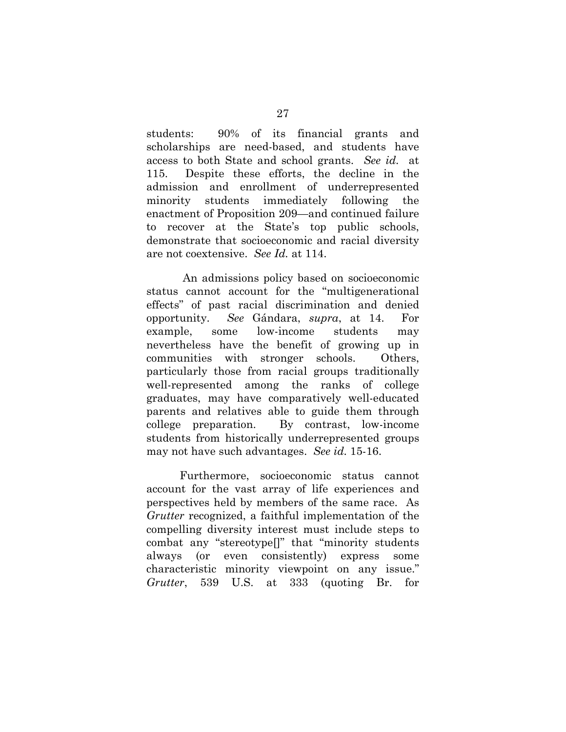students: 90% of its financial grants and scholarships are need-based, and students have access to both State and school grants. *See id.* at 115. Despite these efforts, the decline in the admission and enrollment of underrepresented minority students immediately following the enactment of Proposition 209—and continued failure to recover at the State's top public schools, demonstrate that socioeconomic and racial diversity are not coextensive. *See Id.* at 114.

 An admissions policy based on socioeconomic status cannot account for the "multigenerational effects" of past racial discrimination and denied opportunity. *See* Gándara, *supra*, at 14. For example, some low-income students may nevertheless have the benefit of growing up in communities with stronger schools. Others, particularly those from racial groups traditionally well-represented among the ranks of college graduates, may have comparatively well-educated parents and relatives able to guide them through college preparation. By contrast, low-income students from historically underrepresented groups may not have such advantages. *See id.* 15-16.

Furthermore, socioeconomic status cannot account for the vast array of life experiences and perspectives held by members of the same race. As *Grutter* recognized, a faithful implementation of the compelling diversity interest must include steps to combat any "stereotype[]" that "minority students always (or even consistently) express some characteristic minority viewpoint on any issue." *Grutter*, 539 U.S. at 333 (quoting Br. for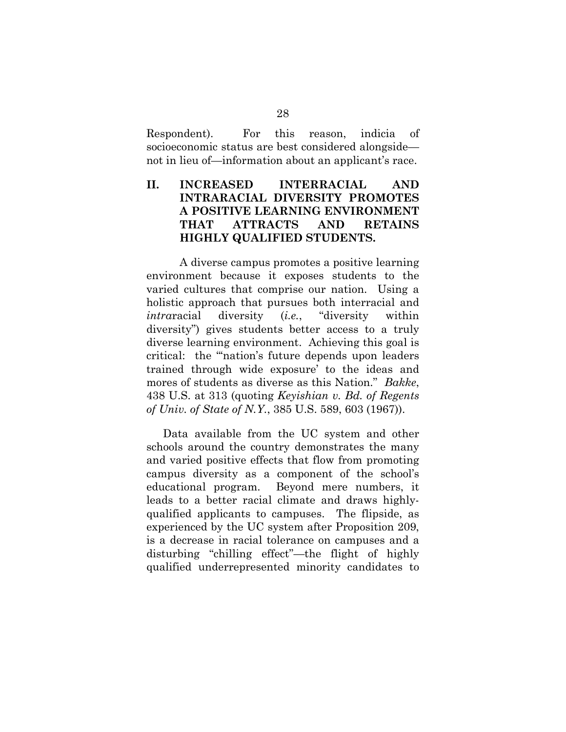Respondent). For this reason, indicia of socioeconomic status are best considered alongside not in lieu of—information about an applicant's race.

## **II. INCREASED INTERRACIAL AND INTRARACIAL DIVERSITY PROMOTES A POSITIVE LEARNING ENVIRONMENT THAT ATTRACTS AND RETAINS HIGHLY QUALIFIED STUDENTS.**

A diverse campus promotes a positive learning environment because it exposes students to the varied cultures that comprise our nation. Using a holistic approach that pursues both interracial and *intra*racial diversity (*i.e.*, "diversity within diversity") gives students better access to a truly diverse learning environment. Achieving this goal is critical: the "'nation's future depends upon leaders trained through wide exposure' to the ideas and mores of students as diverse as this Nation." *Bakke*, 438 U.S. at 313 (quoting *Keyishian v. Bd. of Regents of Univ. of State of N.Y.*, 385 U.S. 589, 603 (1967)).

Data available from the UC system and other schools around the country demonstrates the many and varied positive effects that flow from promoting campus diversity as a component of the school's educational program. Beyond mere numbers, it leads to a better racial climate and draws highlyqualified applicants to campuses. The flipside, as experienced by the UC system after Proposition 209, is a decrease in racial tolerance on campuses and a disturbing "chilling effect"—the flight of highly qualified underrepresented minority candidates to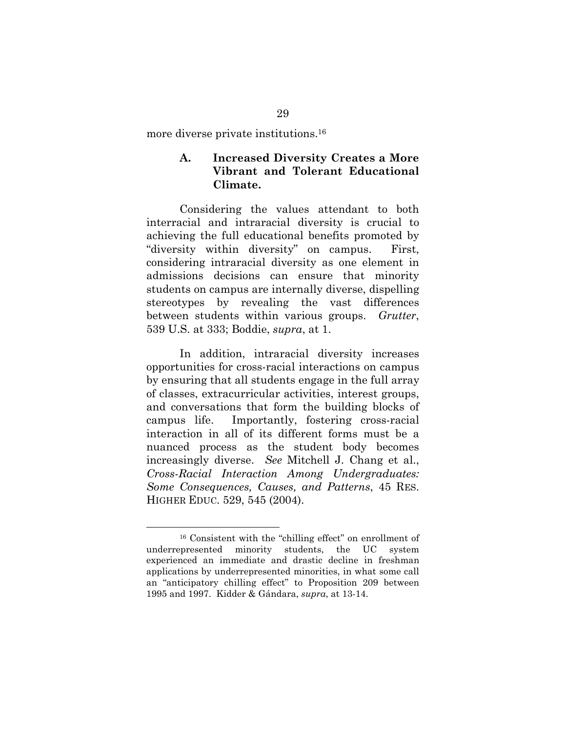more diverse private institutions.16

### **A. Increased Diversity Creates a More Vibrant and Tolerant Educational Climate.**

Considering the values attendant to both interracial and intraracial diversity is crucial to achieving the full educational benefits promoted by "diversity within diversity" on campus. First, considering intraracial diversity as one element in admissions decisions can ensure that minority students on campus are internally diverse, dispelling stereotypes by revealing the vast differences between students within various groups. *Grutter*, 539 U.S. at 333; Boddie, *supra*, at 1.

In addition, intraracial diversity increases opportunities for cross-racial interactions on campus by ensuring that all students engage in the full array of classes, extracurricular activities, interest groups, and conversations that form the building blocks of campus life. Importantly, fostering cross-racial interaction in all of its different forms must be a nuanced process as the student body becomes increasingly diverse. *See* Mitchell J. Chang et al., *Cross-Racial Interaction Among Undergraduates: Some Consequences, Causes, and Patterns*, 45 RES. HIGHER EDUC. 529, 545 (2004).

 <sup>16</sup> Consistent with the "chilling effect" on enrollment of underrepresented minority students, the UC system experienced an immediate and drastic decline in freshman applications by underrepresented minorities, in what some call an "anticipatory chilling effect" to Proposition 209 between 1995 and 1997. Kidder & Gándara, *supra*, at 13-14.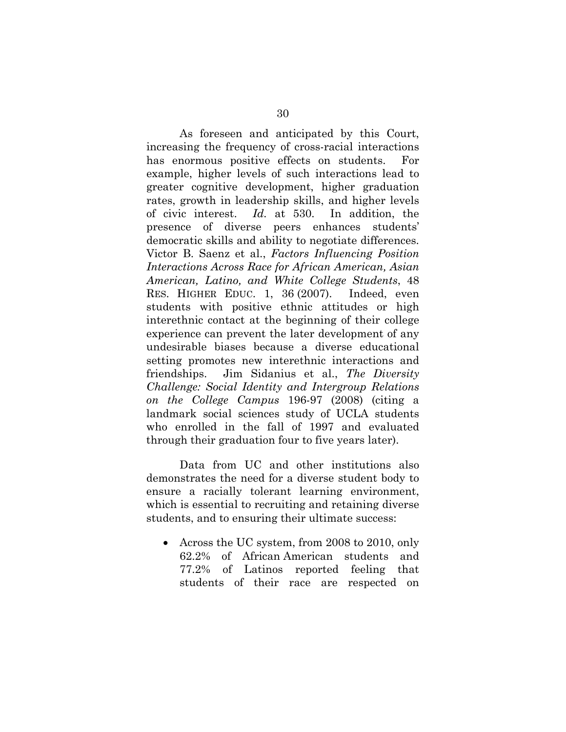As foreseen and anticipated by this Court, increasing the frequency of cross-racial interactions has enormous positive effects on students. For example, higher levels of such interactions lead to greater cognitive development, higher graduation rates, growth in leadership skills, and higher levels of civic interest. *Id.* at 530. In addition, the presence of diverse peers enhances students' democratic skills and ability to negotiate differences. Victor B. Saenz et al., *Factors Influencing Position Interactions Across Race for African American, Asian American, Latino, and White College Students*, 48 RES. HIGHER EDUC. 1, 36 (2007). Indeed, even students with positive ethnic attitudes or high interethnic contact at the beginning of their college experience can prevent the later development of any undesirable biases because a diverse educational setting promotes new interethnic interactions and friendships. Jim Sidanius et al., *The Diversity Challenge: Social Identity and Intergroup Relations on the College Campus* 196-97 (2008) (citing a landmark social sciences study of UCLA students who enrolled in the fall of 1997 and evaluated through their graduation four to five years later).

Data from UC and other institutions also demonstrates the need for a diverse student body to ensure a racially tolerant learning environment, which is essential to recruiting and retaining diverse students, and to ensuring their ultimate success:

 Across the UC system, from 2008 to 2010, only 62.2% of African American students and 77.2% of Latinos reported feeling that students of their race are respected on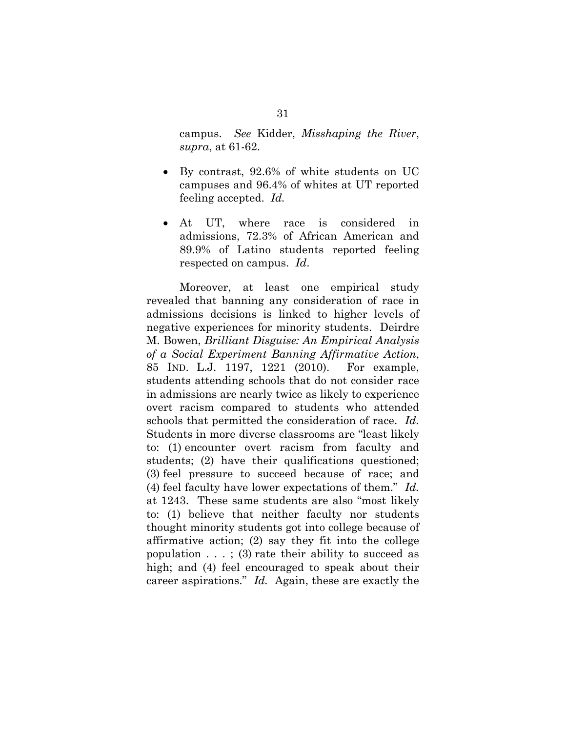campus. *See* Kidder, *Misshaping the River*, *supra*, at 61-62.

- By contrast, 92.6% of white students on UC campuses and 96.4% of whites at UT reported feeling accepted. *Id.*
- At UT, where race is considered in admissions, 72.3% of African American and 89.9% of Latino students reported feeling respected on campus. *Id*.

Moreover, at least one empirical study revealed that banning any consideration of race in admissions decisions is linked to higher levels of negative experiences for minority students. Deirdre M. Bowen, *Brilliant Disguise: An Empirical Analysis of a Social Experiment Banning Affirmative Action*, 85 IND. L.J. 1197, 1221 (2010). For example, students attending schools that do not consider race in admissions are nearly twice as likely to experience overt racism compared to students who attended schools that permitted the consideration of race. *Id.*  Students in more diverse classrooms are "least likely to: (1) encounter overt racism from faculty and students; (2) have their qualifications questioned; (3) feel pressure to succeed because of race; and (4) feel faculty have lower expectations of them." *Id.* at 1243. These same students are also "most likely to: (1) believe that neither faculty nor students thought minority students got into college because of affirmative action; (2) say they fit into the college population  $\ldots$ ; (3) rate their ability to succeed as high; and (4) feel encouraged to speak about their career aspirations." *Id.* Again, these are exactly the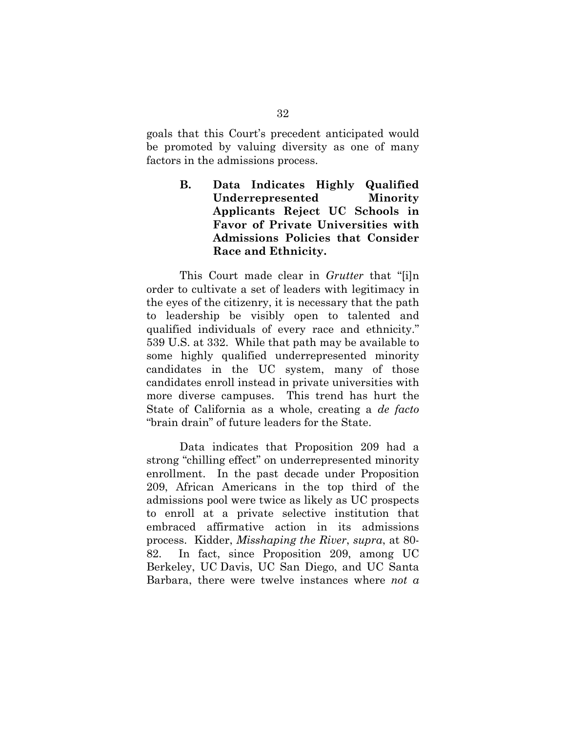goals that this Court's precedent anticipated would be promoted by valuing diversity as one of many factors in the admissions process.

> **B. Data Indicates Highly Qualified Underrepresented Minority Applicants Reject UC Schools in Favor of Private Universities with Admissions Policies that Consider Race and Ethnicity.**

This Court made clear in *Grutter* that "[i]n order to cultivate a set of leaders with legitimacy in the eyes of the citizenry, it is necessary that the path to leadership be visibly open to talented and qualified individuals of every race and ethnicity." 539 U.S. at 332. While that path may be available to some highly qualified underrepresented minority candidates in the UC system, many of those candidates enroll instead in private universities with more diverse campuses. This trend has hurt the State of California as a whole, creating a *de facto* "brain drain" of future leaders for the State.

Data indicates that Proposition 209 had a strong "chilling effect" on underrepresented minority enrollment. In the past decade under Proposition 209, African Americans in the top third of the admissions pool were twice as likely as UC prospects to enroll at a private selective institution that embraced affirmative action in its admissions process. Kidder, *Misshaping the River*, *supra*, at 80- 82. In fact, since Proposition 209, among UC Berkeley, UC Davis, UC San Diego, and UC Santa Barbara, there were twelve instances where *not a*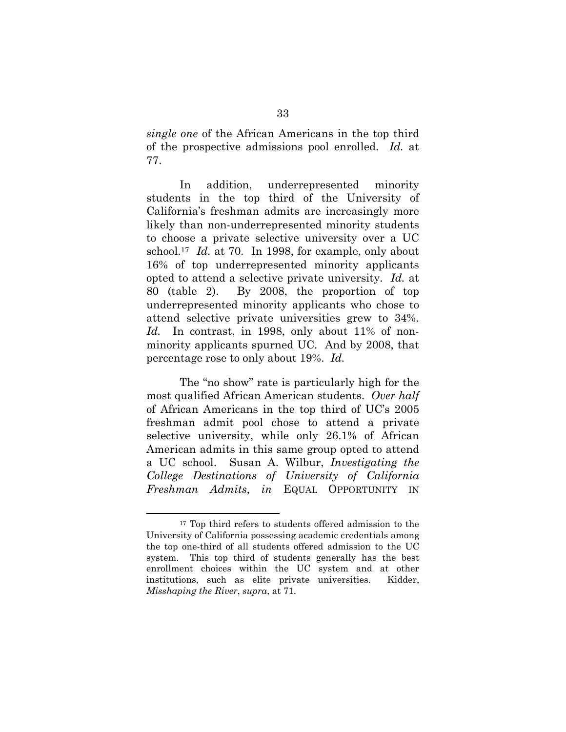*single one* of the African Americans in the top third of the prospective admissions pool enrolled. *Id.* at 77.

In addition, underrepresented minority students in the top third of the University of California's freshman admits are increasingly more likely than non-underrepresented minority students to choose a private selective university over a UC school.17 *Id.* at 70. In 1998, for example, only about 16% of top underrepresented minority applicants opted to attend a selective private university. *Id.* at 80 (table 2). By 2008, the proportion of top underrepresented minority applicants who chose to attend selective private universities grew to 34%. Id. In contrast, in 1998, only about 11% of nonminority applicants spurned UC. And by 2008, that percentage rose to only about 19%. *Id.* 

The "no show" rate is particularly high for the most qualified African American students. *Over half* of African Americans in the top third of UC's 2005 freshman admit pool chose to attend a private selective university, while only 26.1% of African American admits in this same group opted to attend a UC school. Susan A. Wilbur, *Investigating the College Destinations of University of California Freshman Admits*, *in* EQUAL OPPORTUNITY IN

<sup>&</sup>lt;sup>17</sup> Top third refers to students offered admission to the University of California possessing academic credentials among the top one-third of all students offered admission to the UC system. This top third of students generally has the best enrollment choices within the UC system and at other institutions, such as elite private universities. Kidder, *Misshaping the River*, *supra*, at 71.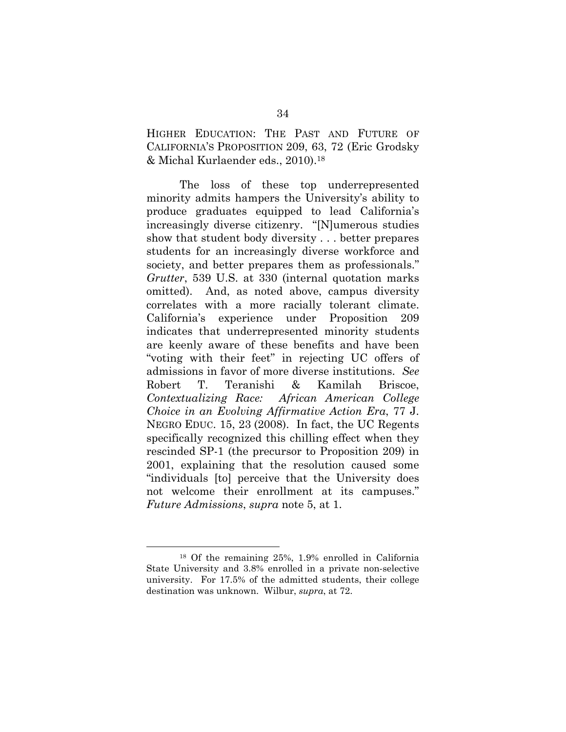HIGHER EDUCATION: THE PAST AND FUTURE OF CALIFORNIA'S PROPOSITION 209, 63, 72 (Eric Grodsky & Michal Kurlaender eds., 2010).18

The loss of these top underrepresented minority admits hampers the University's ability to produce graduates equipped to lead California's increasingly diverse citizenry. "[N]umerous studies show that student body diversity . . . better prepares students for an increasingly diverse workforce and society, and better prepares them as professionals." *Grutter*, 539 U.S. at 330 (internal quotation marks omitted). And, as noted above, campus diversity correlates with a more racially tolerant climate. California's experience under Proposition 209 indicates that underrepresented minority students are keenly aware of these benefits and have been "voting with their feet" in rejecting UC offers of admissions in favor of more diverse institutions. *See* Robert T. Teranishi & Kamilah Briscoe, *Contextualizing Race: African American College Choice in an Evolving Affirmative Action Era*, 77 J. NEGRO EDUC. 15, 23 (2008). In fact, the UC Regents specifically recognized this chilling effect when they rescinded SP-1 (the precursor to Proposition 209) in 2001, explaining that the resolution caused some "individuals [to] perceive that the University does not welcome their enrollment at its campuses." *Future Admissions*, *supra* note 5, at 1.

 <sup>18</sup> Of the remaining 25%, 1.9% enrolled in California State University and 3.8% enrolled in a private non-selective university. For 17.5% of the admitted students, their college destination was unknown. Wilbur, *supra*, at 72.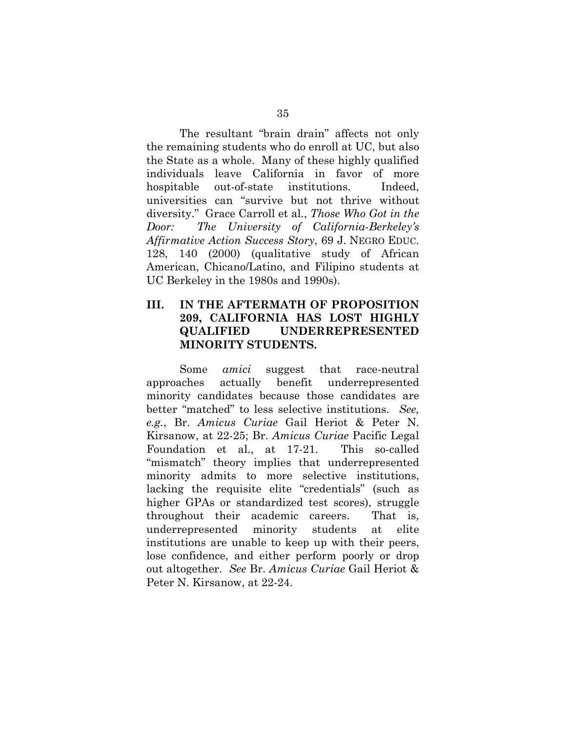The resultant "brain drain" affects not only the remaining students who do enroll at UC, but also the State as a whole. Many of these highly qualified individuals leave California in favor of more hospitable out-of-state institutions. Indeed, universities can "survive but not thrive without diversity." Grace Carroll et al., *Those Who Got in the Door: The University of California-Berkeley's Affirmative Action Success Story*, 69 J. NEGRO EDUC. 128, 140 (2000) (qualitative study of African American, Chicano/Latino, and Filipino students at UC Berkeley in the 1980s and 1990s).

### **III. IN THE AFTERMATH OF PROPOSITION 209, CALIFORNIA HAS LOST HIGHLY QUALIFIED UNDERREPRESENTED MINORITY STUDENTS.**

Some *amici* suggest that race-neutral approaches actually benefit underrepresented minority candidates because those candidates are better "matched" to less selective institutions. *See, e.g.*, Br. *Amicus Curiae* Gail Heriot & Peter N. Kirsanow, at 22-25; Br. *Amicus Curiae* Pacific Legal Foundation et al., at 17-21. This so-called "mismatch" theory implies that underrepresented minority admits to more selective institutions, lacking the requisite elite "credentials" (such as higher GPAs or standardized test scores), struggle throughout their academic careers. That is, underrepresented minority students at elite institutions are unable to keep up with their peers, lose confidence, and either perform poorly or drop out altogether. *See* Br. *Amicus Curiae* Gail Heriot & Peter N. Kirsanow, at 22-24.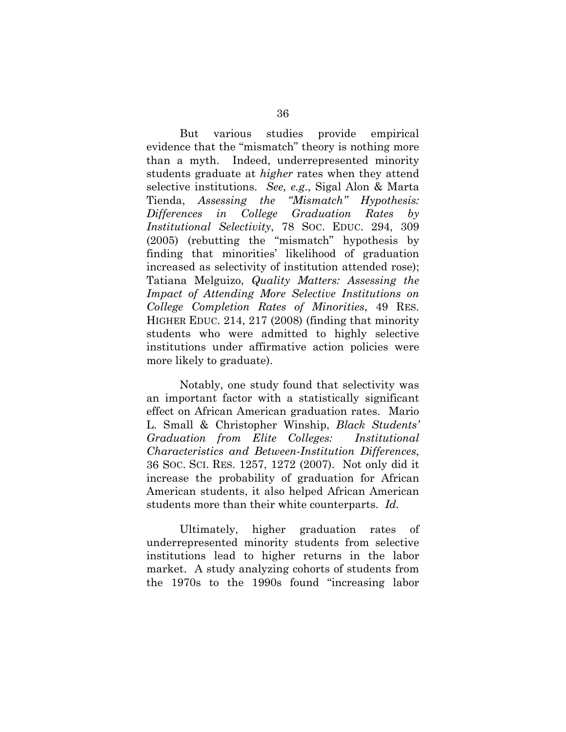But various studies provide empirical evidence that the "mismatch" theory is nothing more than a myth. Indeed, underrepresented minority students graduate at *higher* rates when they attend selective institutions. *See, e.g*., Sigal Alon & Marta Tienda, *Assessing the "Mismatch" Hypothesis: Differences in College Graduation Rates by Institutional Selectivity*, 78 SOC. EDUC. 294, 309 (2005) (rebutting the "mismatch" hypothesis by finding that minorities' likelihood of graduation increased as selectivity of institution attended rose); Tatiana Melguizo, *Quality Matters: Assessing the Impact of Attending More Selective Institutions on College Completion Rates of Minorities*, 49 RES. HIGHER EDUC. 214, 217 (2008) (finding that minority students who were admitted to highly selective institutions under affirmative action policies were more likely to graduate).

Notably, one study found that selectivity was an important factor with a statistically significant effect on African American graduation rates. Mario L. Small & Christopher Winship, *Black Students' Graduation from Elite Colleges: Institutional Characteristics and Between-Institution Differences*, 36 SOC. SCI. RES. 1257, 1272 (2007). Not only did it increase the probability of graduation for African American students, it also helped African American students more than their white counterparts. *Id.*

Ultimately, higher graduation rates of underrepresented minority students from selective institutions lead to higher returns in the labor market. A study analyzing cohorts of students from the 1970s to the 1990s found "increasing labor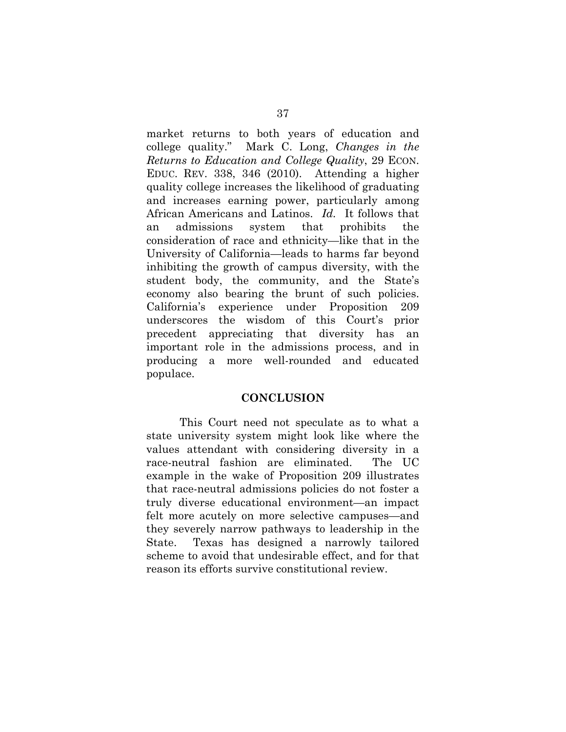market returns to both years of education and college quality." Mark C. Long, *Changes in the Returns to Education and College Quality*, 29 ECON. EDUC. REV. 338, 346 (2010). Attending a higher quality college increases the likelihood of graduating and increases earning power, particularly among African Americans and Latinos. *Id.* It follows that an admissions system that prohibits the consideration of race and ethnicity—like that in the University of California—leads to harms far beyond inhibiting the growth of campus diversity, with the student body, the community, and the State's economy also bearing the brunt of such policies. California's experience under Proposition 209 underscores the wisdom of this Court's prior precedent appreciating that diversity has an important role in the admissions process, and in producing a more well-rounded and educated populace.

#### **CONCLUSION**

This Court need not speculate as to what a state university system might look like where the values attendant with considering diversity in a race-neutral fashion are eliminated. The UC example in the wake of Proposition 209 illustrates that race-neutral admissions policies do not foster a truly diverse educational environment—an impact felt more acutely on more selective campuses—and they severely narrow pathways to leadership in the State. Texas has designed a narrowly tailored scheme to avoid that undesirable effect, and for that reason its efforts survive constitutional review.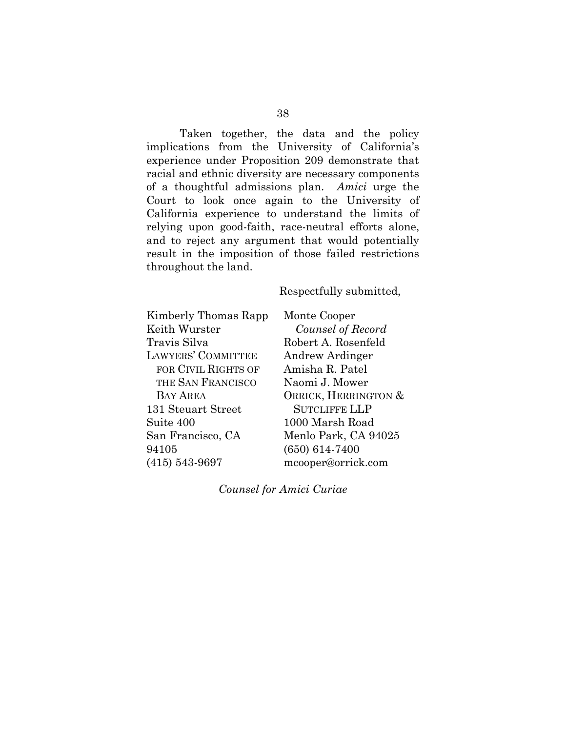Taken together, the data and the policy implications from the University of California's experience under Proposition 209 demonstrate that racial and ethnic diversity are necessary components of a thoughtful admissions plan. *Amici* urge the Court to look once again to the University of California experience to understand the limits of relying upon good-faith, race-neutral efforts alone, and to reject any argument that would potentially result in the imposition of those failed restrictions throughout the land.

### Respectfully submitted,

Kimberly Thomas Rapp Keith Wurster Travis Silva LAWYERS' COMMITTEE FOR CIVIL RIGHTS OF THE SAN FRANCISCO BAY AREA 131 Steuart Street Suite 400 San Francisco, CA 94105 (415) 543-9697

Monte Cooper *Counsel of Record*  Robert A. Rosenfeld Andrew Ardinger Amisha R. Patel Naomi J. Mower ORRICK, HERRINGTON & SUTCLIFFE LLP 1000 Marsh Road Menlo Park, CA 94025 (650) 614-7400 mcooper@orrick.com

*Counsel for Amici Curiae*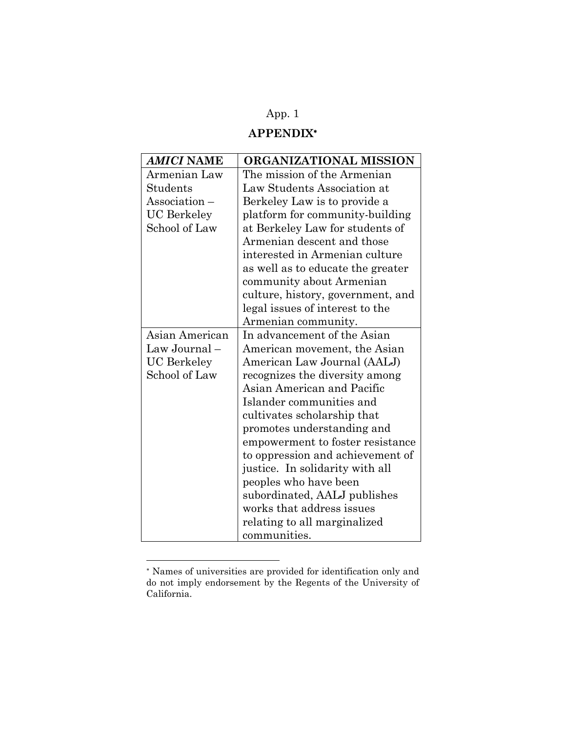# App. 1

## **APPENDIX**

| AMICI NAME         | ORGANIZATIONAL MISSION            |  |
|--------------------|-----------------------------------|--|
| Armenian Law       | The mission of the Armenian       |  |
| Students           | Law Students Association at       |  |
| Association –      | Berkeley Law is to provide a      |  |
| <b>UC</b> Berkeley | platform for community-building   |  |
| School of Law      | at Berkeley Law for students of   |  |
|                    | Armenian descent and those        |  |
|                    | interested in Armenian culture    |  |
|                    | as well as to educate the greater |  |
|                    | community about Armenian          |  |
|                    | culture, history, government, and |  |
|                    | legal issues of interest to the   |  |
|                    | Armenian community.               |  |
| Asian American     | In advancement of the Asian       |  |
| Law Journal-       | American movement, the Asian      |  |
| <b>UC</b> Berkeley | American Law Journal (AALJ)       |  |
| School of Law      | recognizes the diversity among    |  |
|                    | Asian American and Pacific        |  |
|                    | Islander communities and          |  |
|                    | cultivates scholarship that       |  |
|                    | promotes understanding and        |  |
|                    | empowerment to foster resistance  |  |
|                    | to oppression and achievement of  |  |
|                    | justice. In solidarity with all   |  |
|                    | peoples who have been             |  |
|                    | subordinated, AALJ publishes      |  |
|                    | works that address issues         |  |
|                    | relating to all marginalized      |  |
|                    | communities.                      |  |

 Names of universities are provided for identification only and do not imply endorsement by the Regents of the University of California.

l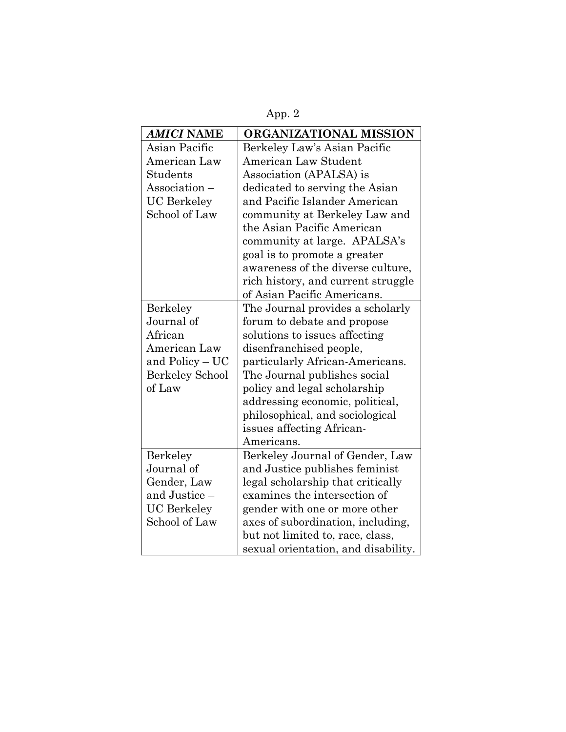App. 2

| <b>AMICI NAME</b>      | ORGANIZATIONAL MISSION              |  |
|------------------------|-------------------------------------|--|
| Asian Pacific          | Berkeley Law's Asian Pacific        |  |
| American Law           | American Law Student                |  |
| Students               | Association (APALSA) is             |  |
| Association -          | dedicated to serving the Asian      |  |
| <b>UC</b> Berkeley     | and Pacific Islander American       |  |
| School of Law          | community at Berkeley Law and       |  |
|                        | the Asian Pacific American          |  |
|                        | community at large. APALSA's        |  |
|                        | goal is to promote a greater        |  |
|                        | awareness of the diverse culture,   |  |
|                        | rich history, and current struggle  |  |
|                        | of Asian Pacific Americans.         |  |
| Berkeley               | The Journal provides a scholarly    |  |
| Journal of             | forum to debate and propose         |  |
| African                | solutions to issues affecting       |  |
| American Law           | disenfranchised people,             |  |
| and Policy - UC        | particularly African-Americans.     |  |
| <b>Berkeley School</b> | The Journal publishes social        |  |
| of Law                 | policy and legal scholarship        |  |
|                        | addressing economic, political,     |  |
|                        | philosophical, and sociological     |  |
|                        | issues affecting African-           |  |
|                        | Americans.                          |  |
| Berkeley               | Berkeley Journal of Gender, Law     |  |
| Journal of             | and Justice publishes feminist      |  |
| Gender, Law            | legal scholarship that critically   |  |
| and Justice -          | examines the intersection of        |  |
| <b>UC</b> Berkeley     | gender with one or more other       |  |
| School of Law          | axes of subordination, including,   |  |
|                        | but not limited to, race, class,    |  |
|                        | sexual orientation, and disability. |  |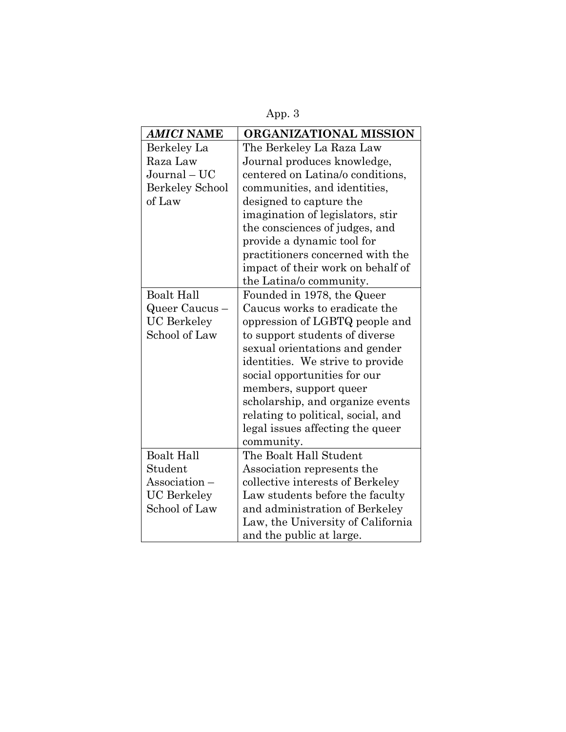| AMICI NAME             | ORGANIZATIONAL MISSION             |  |
|------------------------|------------------------------------|--|
| Berkeley La            | The Berkeley La Raza Law           |  |
| Raza Law               | Journal produces knowledge,        |  |
| $Journal - UC$         | centered on Latina/o conditions,   |  |
| <b>Berkeley School</b> | communities, and identities,       |  |
| of Law                 | designed to capture the            |  |
|                        | imagination of legislators, stir   |  |
|                        | the consciences of judges, and     |  |
|                        | provide a dynamic tool for         |  |
|                        | practitioners concerned with the   |  |
|                        | impact of their work on behalf of  |  |
|                        | the Latina/o community.            |  |
| <b>Boalt Hall</b>      | Founded in 1978, the Queer         |  |
| Queer Caucus –         | Caucus works to eradicate the      |  |
| <b>UC</b> Berkeley     | oppression of LGBTQ people and     |  |
| School of Law          | to support students of diverse     |  |
|                        | sexual orientations and gender     |  |
|                        | identities. We strive to provide   |  |
|                        | social opportunities for our       |  |
|                        | members, support queer             |  |
|                        | scholarship, and organize events   |  |
|                        | relating to political, social, and |  |
|                        | legal issues affecting the queer   |  |
|                        | community.                         |  |
| <b>Boalt Hall</b>      | The Boalt Hall Student             |  |
| Student                | Association represents the         |  |
| Association –          | collective interests of Berkeley   |  |
| UC Berkeley            | Law students before the faculty    |  |
| School of Law          | and administration of Berkeley     |  |
|                        | Law, the University of California  |  |
|                        | and the public at large.           |  |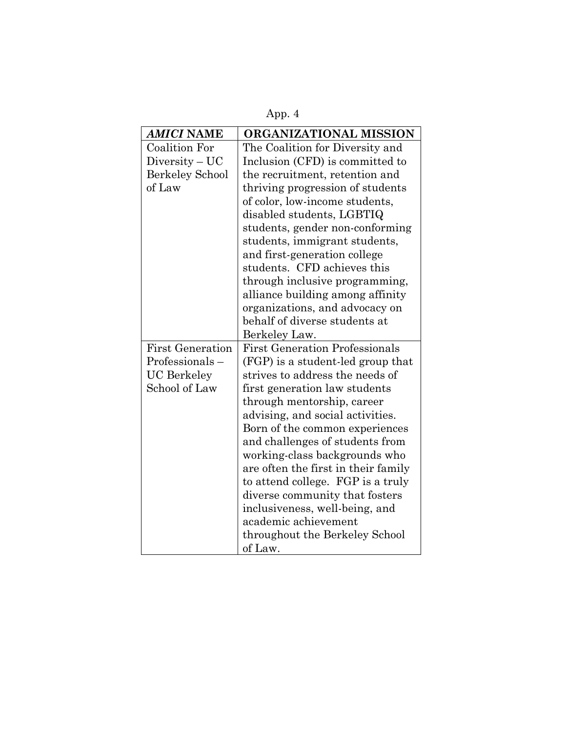App. 4

| <b>AMICI NAME</b>       | ORGANIZATIONAL MISSION                |  |
|-------------------------|---------------------------------------|--|
| <b>Coalition For</b>    | The Coalition for Diversity and       |  |
| $Diversity-UC$          | Inclusion (CFD) is committed to       |  |
| <b>Berkeley School</b>  | the recruitment, retention and        |  |
| of Law                  | thriving progression of students      |  |
|                         | of color, low-income students,        |  |
|                         | disabled students, LGBTIQ             |  |
|                         | students, gender non-conforming       |  |
|                         | students, immigrant students,         |  |
|                         | and first-generation college          |  |
|                         | students. CFD achieves this           |  |
|                         | through inclusive programming,        |  |
|                         | alliance building among affinity      |  |
|                         | organizations, and advocacy on        |  |
|                         | behalf of diverse students at         |  |
|                         | Berkeley Law.                         |  |
| <b>First Generation</b> | <b>First Generation Professionals</b> |  |
| Professionals-          | (FGP) is a student-led group that     |  |
| <b>UC</b> Berkeley      | strives to address the needs of       |  |
| School of Law           | first generation law students         |  |
|                         | through mentorship, career            |  |
|                         | advising, and social activities.      |  |
|                         | Born of the common experiences        |  |
|                         | and challenges of students from       |  |
|                         | working-class backgrounds who         |  |
|                         | are often the first in their family   |  |
|                         | to attend college. FGP is a truly     |  |
|                         | diverse community that fosters        |  |
|                         | inclusiveness, well-being, and        |  |
|                         | academic achievement                  |  |
|                         | throughout the Berkeley School        |  |
|                         | of Law.                               |  |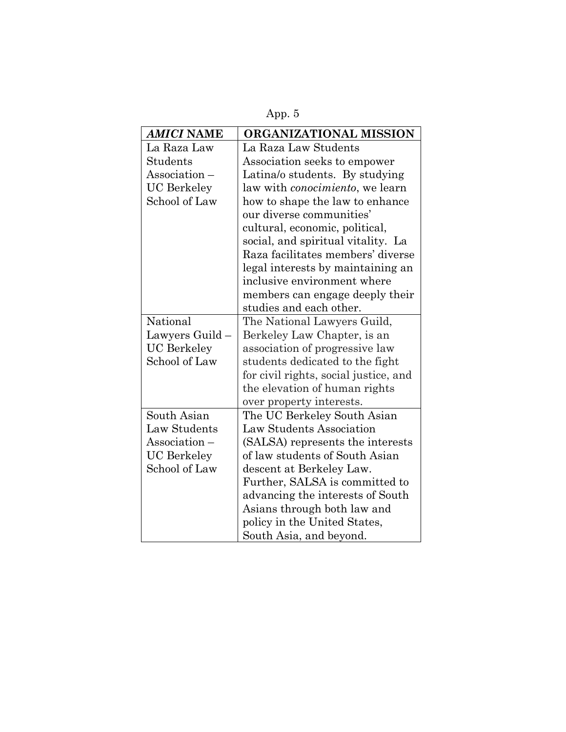App. 5

| AMICI NAME         | ORGANIZATIONAL MISSION                  |  |
|--------------------|-----------------------------------------|--|
| La Raza Law        | La Raza Law Students                    |  |
| Students           | Association seeks to empower            |  |
| Association -      | Latina/o students. By studying          |  |
| <b>UC</b> Berkeley | law with <i>conocimiento</i> , we learn |  |
| School of Law      | how to shape the law to enhance         |  |
|                    | our diverse communities'                |  |
|                    | cultural, economic, political,          |  |
|                    | social, and spiritual vitality. La      |  |
|                    | Raza facilitates members' diverse       |  |
|                    | legal interests by maintaining an       |  |
|                    | inclusive environment where             |  |
|                    | members can engage deeply their         |  |
|                    | studies and each other.                 |  |
| National           | The National Lawyers Guild,             |  |
| Lawyers Guild –    | Berkeley Law Chapter, is an             |  |
| <b>UC</b> Berkeley | association of progressive law          |  |
| School of Law      | students dedicated to the fight         |  |
|                    | for civil rights, social justice, and   |  |
|                    | the elevation of human rights           |  |
|                    | over property interests.                |  |
| South Asian        | The UC Berkeley South Asian             |  |
| Law Students       | Law Students Association                |  |
| Association-       | (SALSA) represents the interests        |  |
| <b>UC</b> Berkeley | of law students of South Asian          |  |
| School of Law      | descent at Berkeley Law.                |  |
|                    | Further, SALSA is committed to          |  |
|                    | advancing the interests of South        |  |
|                    | Asians through both law and             |  |
|                    | policy in the United States,            |  |
|                    | South Asia, and beyond.                 |  |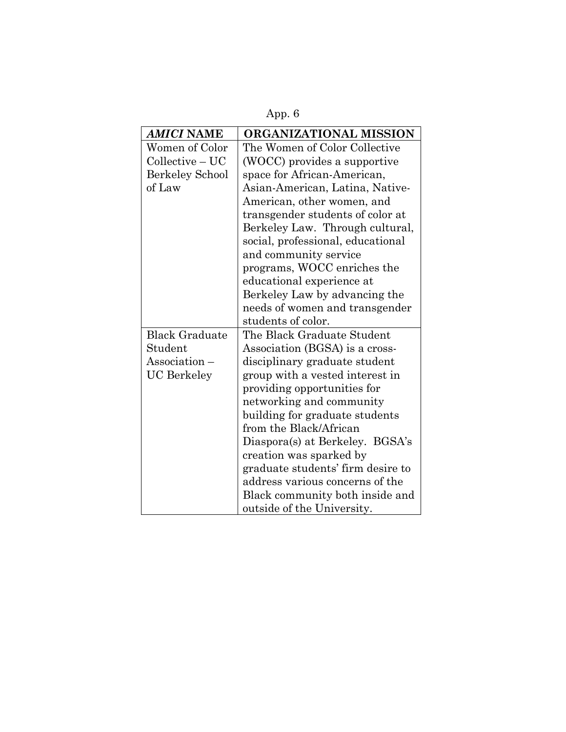App. 6

| <b>AMICI NAME</b>      | ORGANIZATIONAL MISSION            |  |
|------------------------|-----------------------------------|--|
| Women of Color         | The Women of Color Collective     |  |
| $Collective-UC$        | (WOCC) provides a supportive      |  |
| <b>Berkeley School</b> | space for African-American,       |  |
| of Law                 | Asian-American, Latina, Native-   |  |
|                        | American, other women, and        |  |
|                        | transgender students of color at  |  |
|                        | Berkeley Law. Through cultural,   |  |
|                        | social, professional, educational |  |
|                        | and community service             |  |
|                        | programs, WOCC enriches the       |  |
|                        | educational experience at         |  |
|                        | Berkeley Law by advancing the     |  |
|                        | needs of women and transgender    |  |
|                        | students of color.                |  |
| <b>Black Graduate</b>  | The Black Graduate Student        |  |
| Student                | Association (BGSA) is a cross-    |  |
| Association-           | disciplinary graduate student     |  |
| <b>UC</b> Berkeley     | group with a vested interest in   |  |
|                        | providing opportunities for       |  |
|                        | networking and community          |  |
|                        | building for graduate students    |  |
|                        | from the Black/African            |  |
|                        | Diaspora(s) at Berkeley. BGSA's   |  |
|                        | creation was sparked by           |  |
|                        | graduate students' firm desire to |  |
|                        | address various concerns of the   |  |
|                        | Black community both inside and   |  |
|                        | outside of the University.        |  |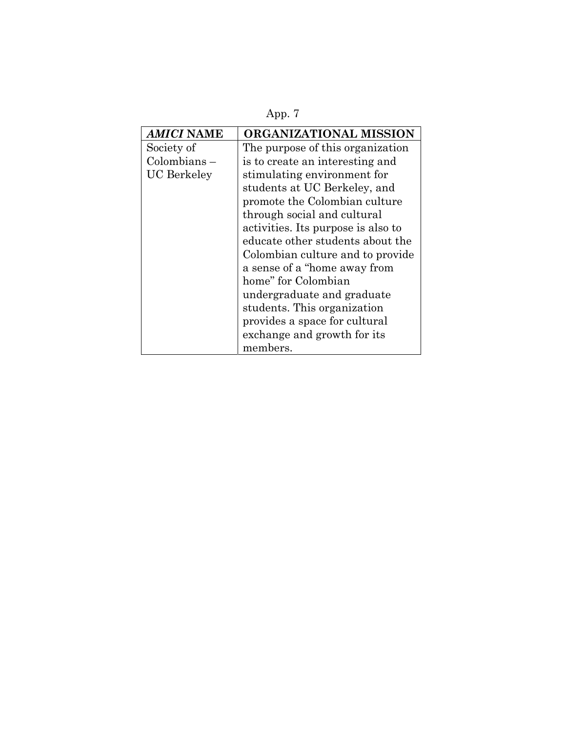App. 7

| <i>AMICI</i> NAME  | ORGANIZATIONAL MISSION             |  |
|--------------------|------------------------------------|--|
| Society of         | The purpose of this organization   |  |
| $Colombians -$     | is to create an interesting and    |  |
| <b>UC</b> Berkeley | stimulating environment for        |  |
|                    | students at UC Berkeley, and       |  |
|                    | promote the Colombian culture      |  |
|                    | through social and cultural        |  |
|                    | activities. Its purpose is also to |  |
|                    | educate other students about the   |  |
|                    | Colombian culture and to provide   |  |
|                    | a sense of a "home away from       |  |
|                    | home" for Colombian                |  |
|                    | undergraduate and graduate         |  |
|                    | students. This organization        |  |
|                    | provides a space for cultural      |  |
|                    | exchange and growth for its        |  |
|                    | members.                           |  |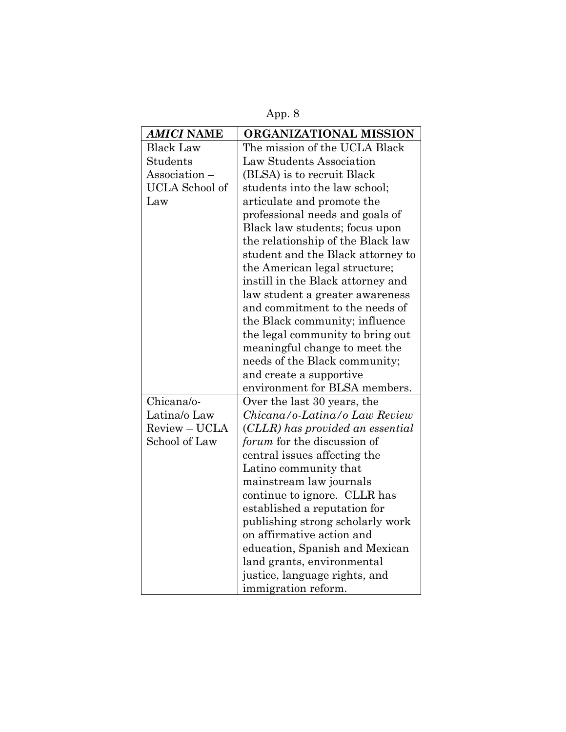App. 8

| <b>AMICI NAME</b>     | ORGANIZATIONAL MISSION            |  |
|-----------------------|-----------------------------------|--|
| <b>Black Law</b>      | The mission of the UCLA Black     |  |
| Students              | Law Students Association          |  |
| Association-          | (BLSA) is to recruit Black        |  |
| <b>UCLA</b> School of | students into the law school;     |  |
| Law                   | articulate and promote the        |  |
|                       | professional needs and goals of   |  |
|                       | Black law students; focus upon    |  |
|                       | the relationship of the Black law |  |
|                       | student and the Black attorney to |  |
|                       | the American legal structure;     |  |
|                       | instill in the Black attorney and |  |
|                       | law student a greater awareness   |  |
|                       | and commitment to the needs of    |  |
|                       | the Black community; influence    |  |
|                       | the legal community to bring out  |  |
|                       | meaningful change to meet the     |  |
|                       | needs of the Black community;     |  |
|                       | and create a supportive           |  |
|                       | environment for BLSA members.     |  |
| Chicana/o-            | Over the last 30 years, the       |  |
| Latina/o Law          | Chicana/o-Latina/o Law Review     |  |
| Review - UCLA         | (CLLR) has provided an essential  |  |
| School of Law         | forum for the discussion of       |  |
|                       | central issues affecting the      |  |
|                       | Latino community that             |  |
|                       | mainstream law journals           |  |
|                       | continue to ignore. CLLR has      |  |
|                       | established a reputation for      |  |
|                       | publishing strong scholarly work  |  |
|                       | on affirmative action and         |  |
|                       | education, Spanish and Mexican    |  |
|                       | land grants, environmental        |  |
|                       | justice, language rights, and     |  |
|                       | immigration reform.               |  |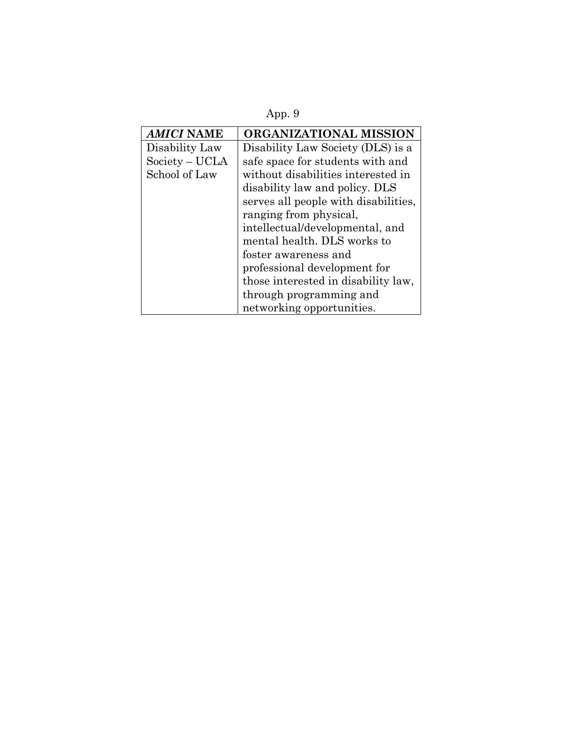App. 9

| <b>AMICI NAME</b> | ORGANIZATIONAL MISSION               |
|-------------------|--------------------------------------|
| Disability Law    | Disability Law Society (DLS) is a    |
| Society – UCLA    | safe space for students with and     |
| School of Law     | without disabilities interested in   |
|                   | disability law and policy. DLS       |
|                   | serves all people with disabilities, |
|                   | ranging from physical,               |
|                   | intellectual/developmental, and      |
|                   | mental health. DLS works to          |
|                   | foster awareness and                 |
|                   | professional development for         |
|                   | those interested in disability law,  |
|                   | through programming and              |
|                   | networking opportunities.            |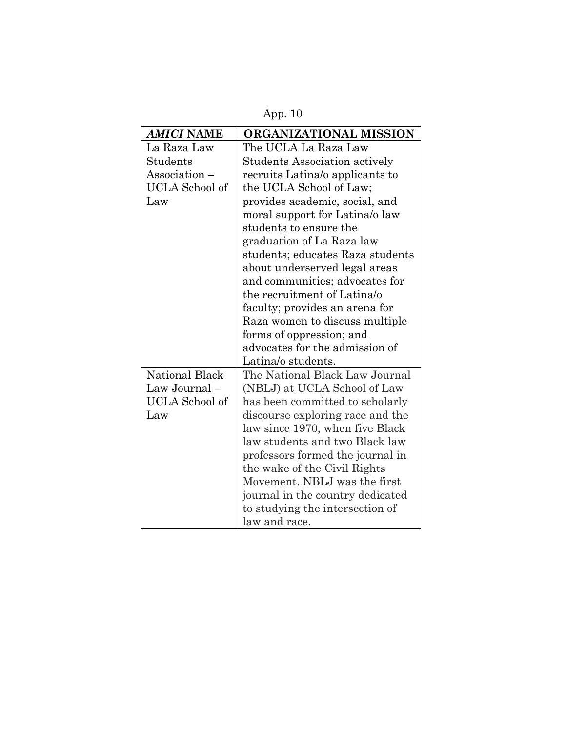App. 10

| AMICI NAME            | ORGANIZATIONAL MISSION               |  |
|-----------------------|--------------------------------------|--|
| La Raza Law           | The UCLA La Raza Law                 |  |
| Students              | <b>Students Association actively</b> |  |
| Association -         | recruits Latina/o applicants to      |  |
| <b>UCLA</b> School of | the UCLA School of Law;              |  |
| Law                   | provides academic, social, and       |  |
|                       | moral support for Latina/o law       |  |
|                       | students to ensure the               |  |
|                       | graduation of La Raza law            |  |
|                       | students; educates Raza students     |  |
|                       | about underserved legal areas        |  |
|                       | and communities; advocates for       |  |
|                       | the recruitment of Latina/o          |  |
|                       | faculty; provides an arena for       |  |
|                       | Raza women to discuss multiple       |  |
|                       | forms of oppression; and             |  |
|                       | advocates for the admission of       |  |
|                       | Latina/o students.                   |  |
| National Black        | The National Black Law Journal       |  |
| Law Journal-          | (NBLJ) at UCLA School of Law         |  |
| <b>UCLA</b> School of | has been committed to scholarly      |  |
| Law                   | discourse exploring race and the     |  |
|                       | law since 1970, when five Black      |  |
|                       | law students and two Black law       |  |
|                       | professors formed the journal in     |  |
|                       | the wake of the Civil Rights         |  |
|                       | Movement. NBLJ was the first         |  |
|                       | journal in the country dedicated     |  |
|                       | to studying the intersection of      |  |
|                       | law and race.                        |  |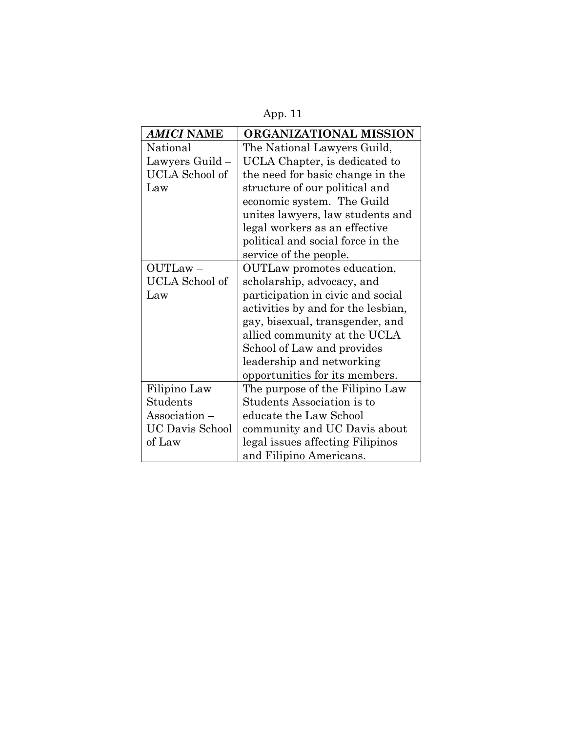| L<br>I |  |
|--------|--|
|        |  |

| <b>AMICI NAME</b>      | ORGANIZATIONAL MISSION             |
|------------------------|------------------------------------|
| National               | The National Lawyers Guild,        |
| Lawyers Guild –        | UCLA Chapter, is dedicated to      |
| <b>UCLA</b> School of  | the need for basic change in the   |
| Law                    | structure of our political and     |
|                        | economic system. The Guild         |
|                        | unites lawyers, law students and   |
|                        | legal workers as an effective      |
|                        | political and social force in the  |
|                        | service of the people.             |
| OUTLaw-                | OUTLaw promotes education,         |
| UCLA School of         | scholarship, advocacy, and         |
| Law                    | participation in civic and social  |
|                        | activities by and for the lesbian, |
|                        | gay, bisexual, transgender, and    |
|                        | allied community at the UCLA       |
|                        | School of Law and provides         |
|                        | leadership and networking          |
|                        | opportunities for its members.     |
| Filipino Law           | The purpose of the Filipino Law    |
| Students               | Students Association is to         |
| Association –          | educate the Law School             |
| <b>UC Davis School</b> | community and UC Davis about       |
| of Law                 | legal issues affecting Filipinos   |
|                        | and Filipino Americans.            |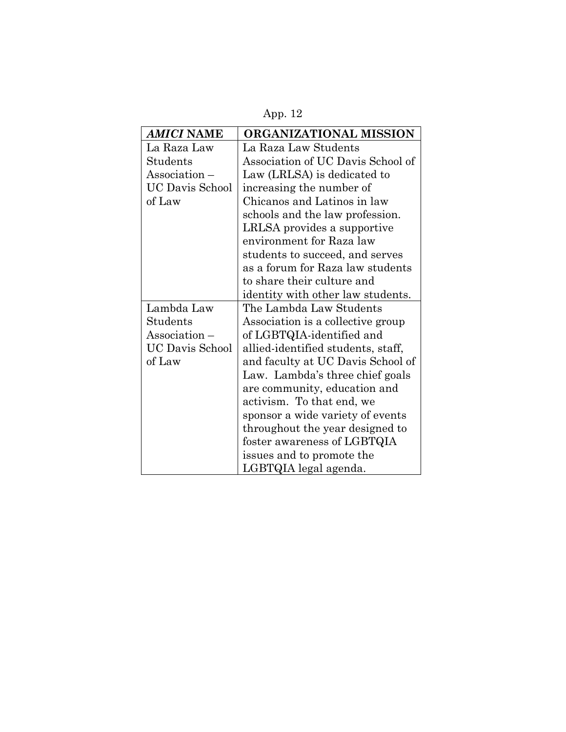App. 12

| <b>AMICI NAME</b>      | ORGANIZATIONAL MISSION             |
|------------------------|------------------------------------|
| La Raza Law            | La Raza Law Students               |
| Students               | Association of UC Davis School of  |
| Association -          | Law (LRLSA) is dedicated to        |
| <b>UC Davis School</b> | increasing the number of           |
| of Law                 | Chicanos and Latinos in law        |
|                        | schools and the law profession.    |
|                        | LRLSA provides a supportive        |
|                        | environment for Raza law           |
|                        | students to succeed, and serves    |
|                        | as a forum for Raza law students   |
|                        | to share their culture and         |
|                        | identity with other law students.  |
| Lambda Law             | The Lambda Law Students            |
| Students               | Association is a collective group  |
| Association-           | of LGBTQIA-identified and          |
| <b>UC Davis School</b> | allied-identified students, staff, |
| of Law                 | and faculty at UC Davis School of  |
|                        | Law. Lambda's three chief goals    |
|                        | are community, education and       |
|                        | activism. To that end, we          |
|                        | sponsor a wide variety of events   |
|                        | throughout the year designed to    |
|                        | foster awareness of LGBTQIA        |
|                        | issues and to promote the          |
|                        | LGBTQIA legal agenda.              |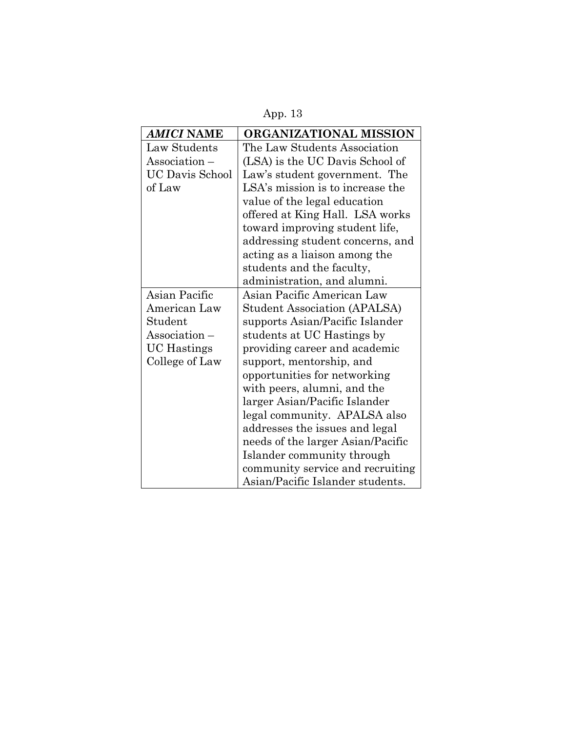App. 13

| <b>AMICI NAME</b>      | ORGANIZATIONAL MISSION            |
|------------------------|-----------------------------------|
| Law Students           | The Law Students Association      |
| Association –          | (LSA) is the UC Davis School of   |
| <b>UC Davis School</b> | Law's student government. The     |
| of Law                 | LSA's mission is to increase the  |
|                        | value of the legal education      |
|                        | offered at King Hall. LSA works   |
|                        | toward improving student life,    |
|                        | addressing student concerns, and  |
|                        | acting as a liaison among the     |
|                        | students and the faculty,         |
|                        | administration, and alumni.       |
| Asian Pacific          | Asian Pacific American Law        |
| American Law           | Student Association (APALSA)      |
| Student                | supports Asian/Pacific Islander   |
| $\Lambda$ ssociation – | students at UC Hastings by        |
| <b>UC</b> Hastings     | providing career and academic     |
| College of Law         | support, mentorship, and          |
|                        | opportunities for networking      |
|                        | with peers, alumni, and the       |
|                        | larger Asian/Pacific Islander     |
|                        | legal community. APALSA also      |
|                        | addresses the issues and legal    |
|                        | needs of the larger Asian/Pacific |
|                        | Islander community through        |
|                        | community service and recruiting  |
|                        | Asian/Pacific Islander students.  |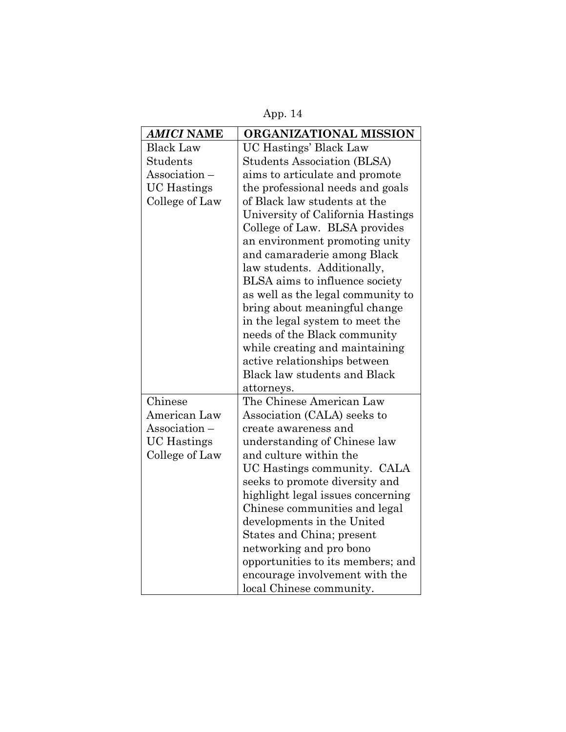App. 14

| <b>AMICI NAME</b>  | ORGANIZATIONAL MISSION              |
|--------------------|-------------------------------------|
| <b>Black Law</b>   | UC Hastings' Black Law              |
| <b>Students</b>    | <b>Students Association (BLSA)</b>  |
| Association -      | aims to articulate and promote      |
| <b>UC</b> Hastings | the professional needs and goals    |
| College of Law     | of Black law students at the        |
|                    | University of California Hastings   |
|                    | College of Law. BLSA provides       |
|                    | an environment promoting unity      |
|                    | and camaraderie among Black         |
|                    | law students. Additionally,         |
|                    | BLSA aims to influence society      |
|                    | as well as the legal community to   |
|                    | bring about meaningful change       |
|                    | in the legal system to meet the     |
|                    | needs of the Black community        |
|                    | while creating and maintaining      |
|                    | active relationships between        |
|                    | <b>Black law students and Black</b> |
|                    | attorneys.                          |
| Chinese            | The Chinese American Law            |
| American Law       | Association (CALA) seeks to         |
| Association-       | create awareness and                |
| <b>UC</b> Hastings | understanding of Chinese law        |
| College of Law     | and culture within the              |
|                    | UC Hastings community. CALA         |
|                    | seeks to promote diversity and      |
|                    | highlight legal issues concerning   |
|                    | Chinese communities and legal       |
|                    | developments in the United          |
|                    | States and China; present           |
|                    | networking and pro bono             |
|                    | opportunities to its members; and   |
|                    | encourage involvement with the      |
|                    | local Chinese community.            |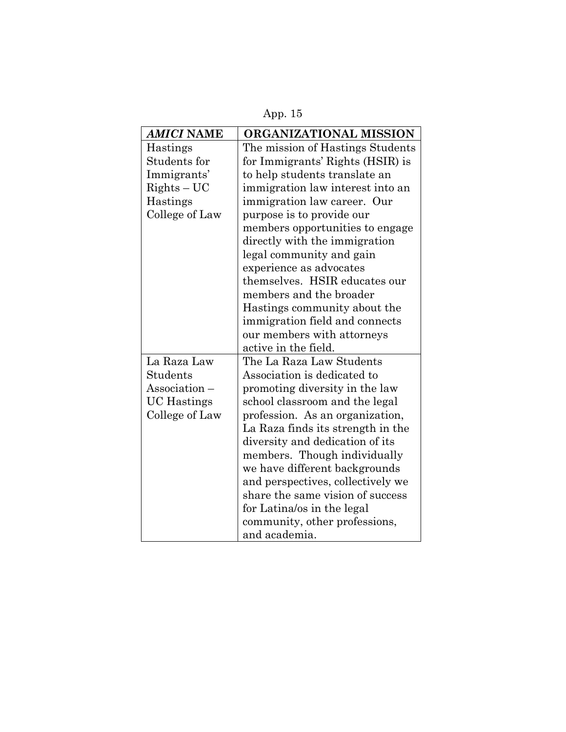App. 15

| <b>AMICI NAME</b>  | ORGANIZATIONAL MISSION            |
|--------------------|-----------------------------------|
| Hastings           | The mission of Hastings Students  |
| Students for       | for Immigrants' Rights (HSIR) is  |
| Immigrants'        | to help students translate an     |
| $RightS - UC$      | immigration law interest into an  |
| Hastings           | immigration law career. Our       |
| College of Law     | purpose is to provide our         |
|                    | members opportunities to engage   |
|                    | directly with the immigration     |
|                    | legal community and gain          |
|                    | experience as advocates           |
|                    | themselves. HSIR educates our     |
|                    | members and the broader           |
|                    | Hastings community about the      |
|                    | immigration field and connects    |
|                    | our members with attorneys        |
|                    | active in the field.              |
| La Raza Law        | The La Raza Law Students          |
| Students           | Association is dedicated to       |
| Association -      | promoting diversity in the law    |
| <b>UC</b> Hastings | school classroom and the legal    |
| College of Law     | profession. As an organization,   |
|                    | La Raza finds its strength in the |
|                    | diversity and dedication of its   |
|                    | members. Though individually      |
|                    | we have different backgrounds     |
|                    | and perspectives, collectively we |
|                    | share the same vision of success  |
|                    | for Latina/os in the legal        |
|                    | community, other professions,     |
|                    | and academia.                     |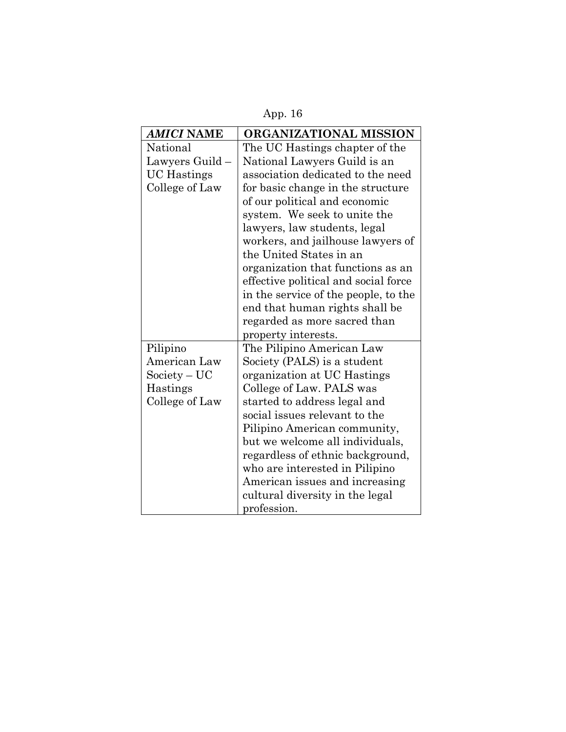App. 16

| <b>AMICI NAME</b>  | ORGANIZATIONAL MISSION               |
|--------------------|--------------------------------------|
| National           | The UC Hastings chapter of the       |
| Lawyers Guild -    | National Lawyers Guild is an         |
| <b>UC</b> Hastings | association dedicated to the need    |
| College of Law     | for basic change in the structure    |
|                    | of our political and economic        |
|                    | system. We seek to unite the         |
|                    | lawyers, law students, legal         |
|                    | workers, and jailhouse lawyers of    |
|                    | the United States in an              |
|                    | organization that functions as an    |
|                    | effective political and social force |
|                    | in the service of the people, to the |
|                    | end that human rights shall be       |
|                    | regarded as more sacred than         |
|                    | property interests.                  |
| Pilipino           | The Pilipino American Law            |
| American Law       | Society (PALS) is a student          |
| $Society-UC$       | organization at UC Hastings          |
| Hastings           | College of Law. PALS was             |
| College of Law     | started to address legal and         |
|                    | social issues relevant to the        |
|                    | Pilipino American community,         |
|                    | but we welcome all individuals,      |
|                    | regardless of ethnic background,     |
|                    | who are interested in Pilipino       |
|                    | American issues and increasing       |
|                    | cultural diversity in the legal      |
|                    | profession.                          |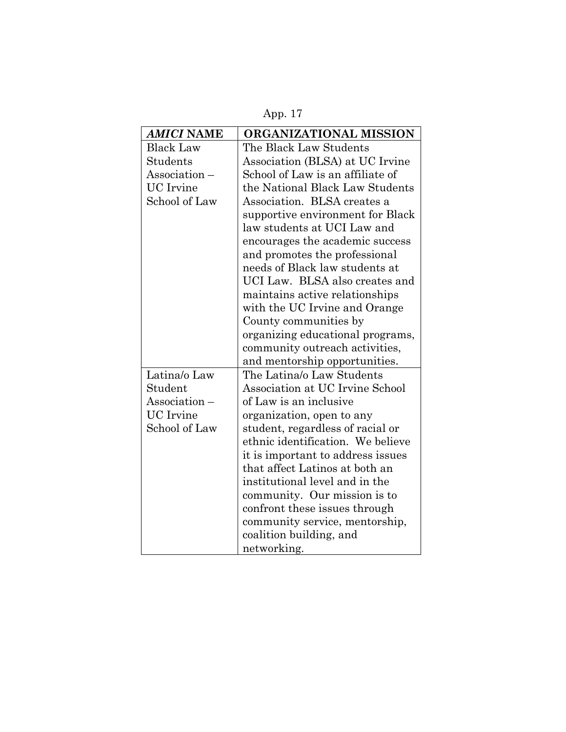App. 17

| <b>AMICI NAME</b> | ORGANIZATIONAL MISSION            |
|-------------------|-----------------------------------|
| <b>Black Law</b>  | The Black Law Students            |
| Students          | Association (BLSA) at UC Irvine   |
| Association-      | School of Law is an affiliate of  |
| <b>UC</b> Irvine  | the National Black Law Students   |
| School of Law     | Association. BLSA creates a       |
|                   | supportive environment for Black  |
|                   | law students at UCI Law and       |
|                   | encourages the academic success   |
|                   | and promotes the professional     |
|                   | needs of Black law students at    |
|                   | UCI Law. BLSA also creates and    |
|                   | maintains active relationships    |
|                   | with the UC Irvine and Orange     |
|                   | County communities by             |
|                   | organizing educational programs,  |
|                   | community outreach activities,    |
|                   | and mentorship opportunities.     |
| Latina/o Law      | The Latina/o Law Students         |
| Student           | Association at UC Irvine School   |
| Association -     | of Law is an inclusive            |
| <b>UC</b> Irvine  | organization, open to any         |
| School of Law     | student, regardless of racial or  |
|                   | ethnic identification. We believe |
|                   | it is important to address issues |
|                   | that affect Latinos at both an    |
|                   | institutional level and in the    |
|                   | community. Our mission is to      |
|                   | confront these issues through     |
|                   | community service, mentorship,    |
|                   | coalition building, and           |
|                   | networking.                       |